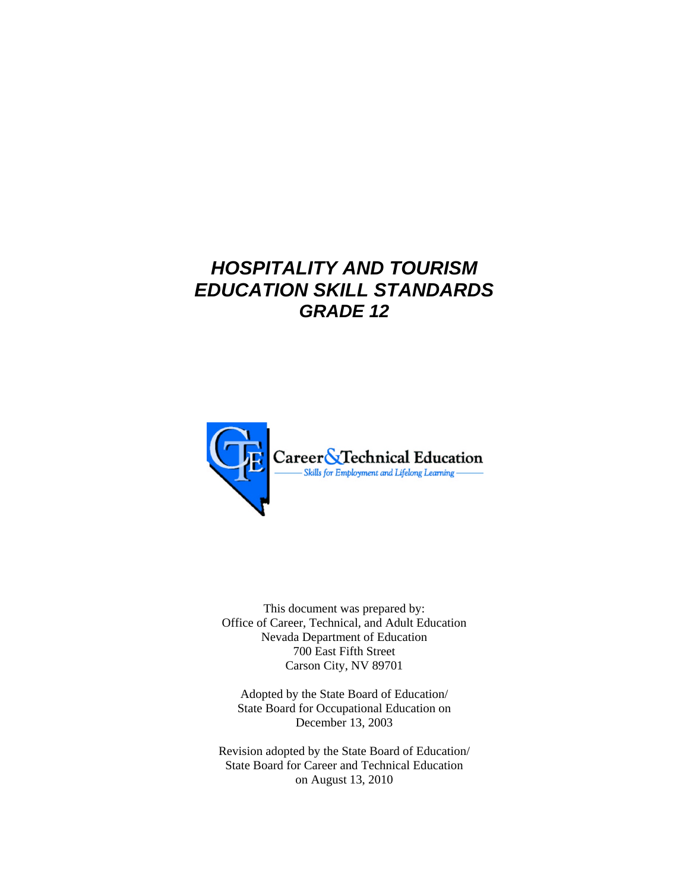# *HOSPITALITY AND TOURISM EDUCATION SKILL STANDARDS GRADE 12*



This document was prepared by: Office of Career, Technical, and Adult Education Nevada Department of Education 700 East Fifth Street Carson City, NV 89701

Adopted by the State Board of Education/ State Board for Occupational Education on December 13, 2003

Revision adopted by the State Board of Education/ State Board for Career and Technical Education on August 13, 2010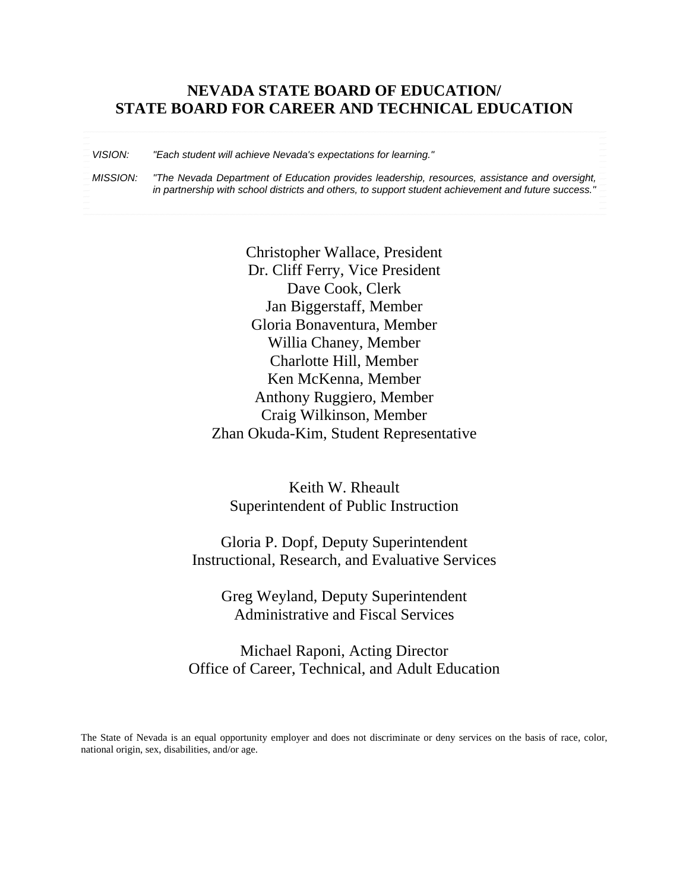## **NEVADA STATE BOARD OF EDUCATION/ STATE BOARD FOR CAREER AND TECHNICAL EDUCATION**

*VISION: "Each student will achieve Nevada's expectations for learning."* 

*MISSION: "The Nevada Department of Education provides leadership, resources, assistance and oversight, in partnership with school districts and others, to support student achievement and future success."*

> Christopher Wallace, President Dr. Cliff Ferry, Vice President Dave Cook, Clerk Jan Biggerstaff, Member Gloria Bonaventura, Member Willia Chaney, Member Charlotte Hill, Member Ken McKenna, Member Anthony Ruggiero, Member Craig Wilkinson, Member Zhan Okuda-Kim, Student Representative

Keith W. Rheault Superintendent of Public Instruction

Gloria P. Dopf, Deputy Superintendent Instructional, Research, and Evaluative Services

Greg Weyland, Deputy Superintendent Administrative and Fiscal Services

Michael Raponi, Acting Director Office of Career, Technical, and Adult Education

The State of Nevada is an equal opportunity employer and does not discriminate or deny services on the basis of race, color, national origin, sex, disabilities, and/or age.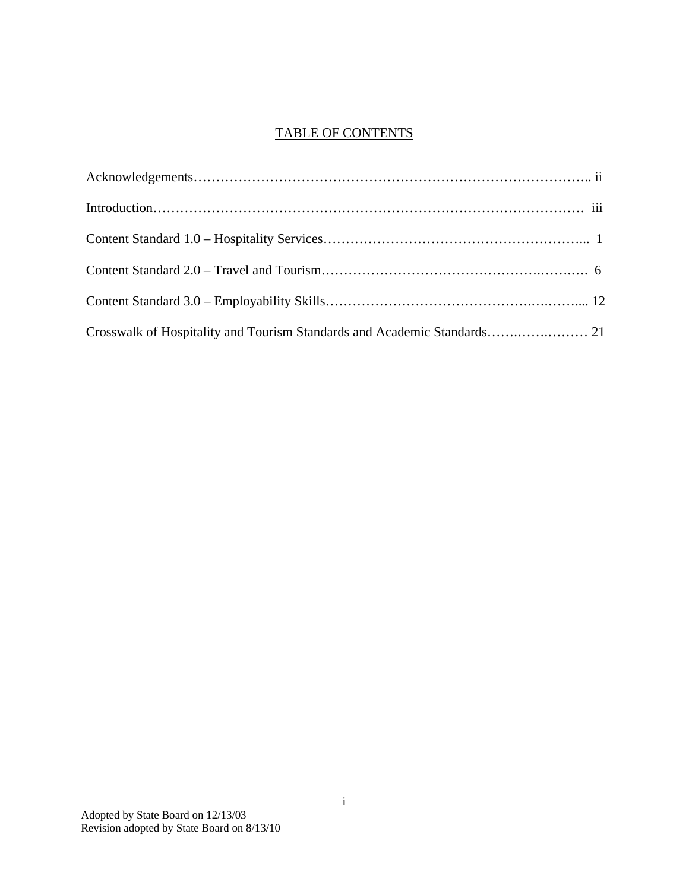## TABLE OF CONTENTS

| Crosswalk of Hospitality and Tourism Standards and Academic Standards 21 |  |
|--------------------------------------------------------------------------|--|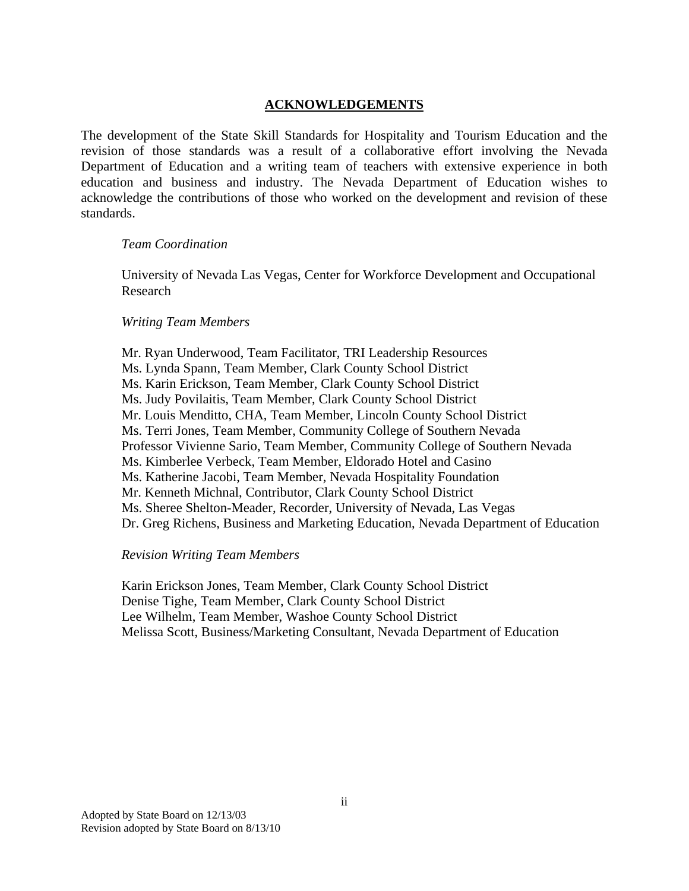#### **ACKNOWLEDGEMENTS**

The development of the State Skill Standards for Hospitality and Tourism Education and the revision of those standards was a result of a collaborative effort involving the Nevada Department of Education and a writing team of teachers with extensive experience in both education and business and industry. The Nevada Department of Education wishes to acknowledge the contributions of those who worked on the development and revision of these standards.

#### *Team Coordination*

University of Nevada Las Vegas, Center for Workforce Development and Occupational Research

#### *Writing Team Members*

 Mr. Ryan Underwood, Team Facilitator, TRI Leadership Resources Ms. Lynda Spann, Team Member, Clark County School District Ms. Karin Erickson, Team Member, Clark County School District Ms. Judy Povilaitis, Team Member, Clark County School District Mr. Louis Menditto, CHA, Team Member, Lincoln County School District Ms. Terri Jones, Team Member, Community College of Southern Nevada Professor Vivienne Sario, Team Member, Community College of Southern Nevada Ms. Kimberlee Verbeck, Team Member, Eldorado Hotel and Casino Ms. Katherine Jacobi, Team Member, Nevada Hospitality Foundation Mr. Kenneth Michnal, Contributor, Clark County School District Ms. Sheree Shelton-Meader, Recorder, University of Nevada, Las Vegas Dr. Greg Richens, Business and Marketing Education, Nevada Department of Education

#### *Revision Writing Team Members*

Karin Erickson Jones, Team Member, Clark County School District Denise Tighe, Team Member, Clark County School District Lee Wilhelm, Team Member, Washoe County School District Melissa Scott, Business/Marketing Consultant, Nevada Department of Education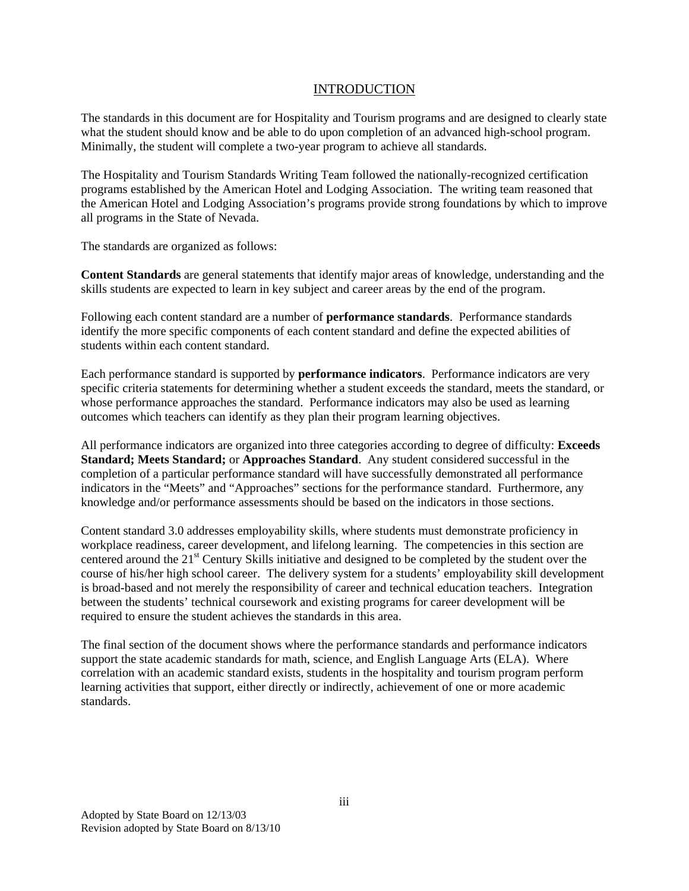#### INTRODUCTION

The standards in this document are for Hospitality and Tourism programs and are designed to clearly state what the student should know and be able to do upon completion of an advanced high-school program. Minimally, the student will complete a two-year program to achieve all standards.

The Hospitality and Tourism Standards Writing Team followed the nationally-recognized certification programs established by the American Hotel and Lodging Association. The writing team reasoned that the American Hotel and Lodging Association's programs provide strong foundations by which to improve all programs in the State of Nevada.

The standards are organized as follows:

**Content Standards** are general statements that identify major areas of knowledge, understanding and the skills students are expected to learn in key subject and career areas by the end of the program.

Following each content standard are a number of **performance standards**. Performance standards identify the more specific components of each content standard and define the expected abilities of students within each content standard.

Each performance standard is supported by **performance indicators**. Performance indicators are very specific criteria statements for determining whether a student exceeds the standard, meets the standard, or whose performance approaches the standard. Performance indicators may also be used as learning outcomes which teachers can identify as they plan their program learning objectives.

All performance indicators are organized into three categories according to degree of difficulty: **Exceeds Standard; Meets Standard;** or **Approaches Standard**. Any student considered successful in the completion of a particular performance standard will have successfully demonstrated all performance indicators in the "Meets" and "Approaches" sections for the performance standard. Furthermore, any knowledge and/or performance assessments should be based on the indicators in those sections.

Content standard 3.0 addresses employability skills, where students must demonstrate proficiency in workplace readiness, career development, and lifelong learning. The competencies in this section are centered around the 21<sup>st</sup> Century Skills initiative and designed to be completed by the student over the course of his/her high school career. The delivery system for a students' employability skill development is broad-based and not merely the responsibility of career and technical education teachers. Integration between the students' technical coursework and existing programs for career development will be required to ensure the student achieves the standards in this area.

The final section of the document shows where the performance standards and performance indicators support the state academic standards for math, science, and English Language Arts (ELA). Where correlation with an academic standard exists, students in the hospitality and tourism program perform learning activities that support, either directly or indirectly, achievement of one or more academic standards.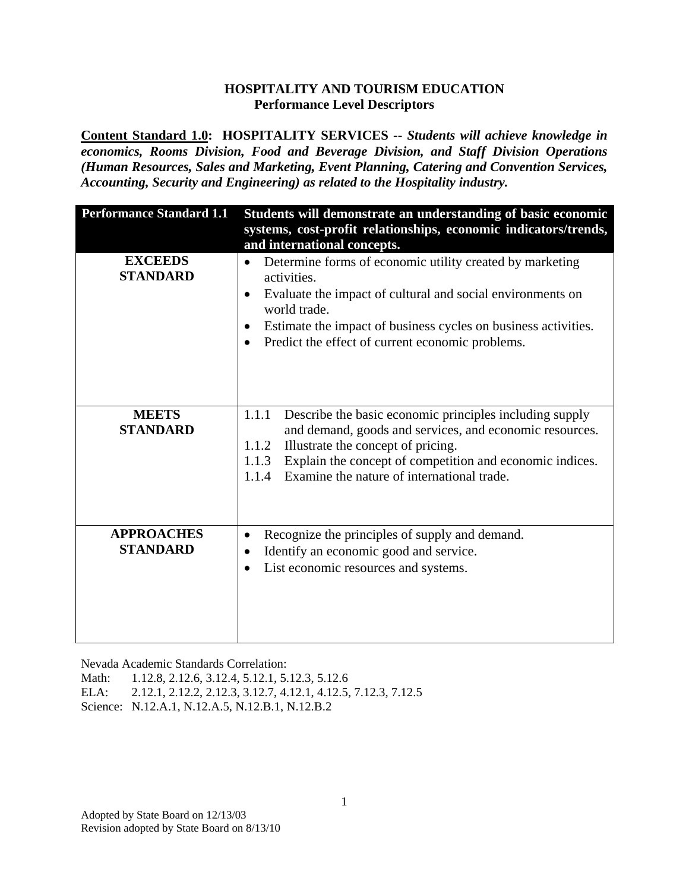**Content Standard 1.0: HOSPITALITY SERVICES --** *Students will achieve knowledge in economics, Rooms Division, Food and Beverage Division, and Staff Division Operations (Human Resources, Sales and Marketing, Event Planning, Catering and Convention Services, Accounting, Security and Engineering) as related to the Hospitality industry.* 

| <b>Performance Standard 1.1</b>      | Students will demonstrate an understanding of basic economic<br>systems, cost-profit relationships, economic indicators/trends,                                                                                                                                                                        |
|--------------------------------------|--------------------------------------------------------------------------------------------------------------------------------------------------------------------------------------------------------------------------------------------------------------------------------------------------------|
|                                      | and international concepts.                                                                                                                                                                                                                                                                            |
| <b>EXCEEDS</b><br><b>STANDARD</b>    | Determine forms of economic utility created by marketing<br>activities.<br>Evaluate the impact of cultural and social environments on<br>$\bullet$<br>world trade.<br>Estimate the impact of business cycles on business activities.<br>Predict the effect of current economic problems.<br>$\bullet$  |
| <b>MEETS</b><br><b>STANDARD</b>      | Describe the basic economic principles including supply<br>1.1.1<br>and demand, goods and services, and economic resources.<br>Illustrate the concept of pricing.<br>1.1.2<br>Explain the concept of competition and economic indices.<br>1.1.3<br>Examine the nature of international trade.<br>1.1.4 |
| <b>APPROACHES</b><br><b>STANDARD</b> | Recognize the principles of supply and demand.<br>٠<br>Identify an economic good and service.<br>List economic resources and systems.<br>$\bullet$                                                                                                                                                     |

Nevada Academic Standards Correlation:

Math: 1.12.8, 2.12.6, 3.12.4, 5.12.1, 5.12.3, 5.12.6 ELA: 2.12.1, 2.12.2, 2.12.3, 3.12.7, 4.12.1, 4.12.5, 7.12.3, 7.12.5

Science: N.12.A.1, N.12.A.5, N.12.B.1, N.12.B.2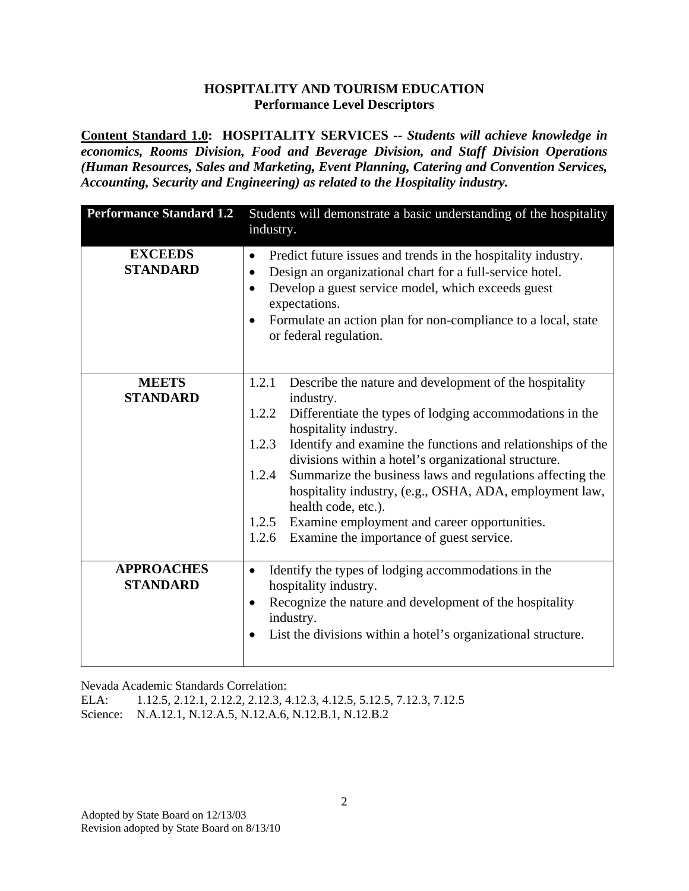**Content Standard 1.0: HOSPITALITY SERVICES --** *Students will achieve knowledge in economics, Rooms Division, Food and Beverage Division, and Staff Division Operations (Human Resources, Sales and Marketing, Event Planning, Catering and Convention Services, Accounting, Security and Engineering) as related to the Hospitality industry.* 

| <b>Performance Standard 1.2</b>      | Students will demonstrate a basic understanding of the hospitality<br>industry.                                                                                                                                                                                                                                                                                                                                                                                                                                                                                            |
|--------------------------------------|----------------------------------------------------------------------------------------------------------------------------------------------------------------------------------------------------------------------------------------------------------------------------------------------------------------------------------------------------------------------------------------------------------------------------------------------------------------------------------------------------------------------------------------------------------------------------|
| <b>EXCEEDS</b><br><b>STANDARD</b>    | Predict future issues and trends in the hospitality industry.<br>$\bullet$<br>Design an organizational chart for a full-service hotel.<br>$\bullet$<br>Develop a guest service model, which exceeds guest<br>$\bullet$<br>expectations.<br>Formulate an action plan for non-compliance to a local, state<br>$\bullet$<br>or federal regulation.                                                                                                                                                                                                                            |
| <b>MEETS</b><br><b>STANDARD</b>      | 1.2.1<br>Describe the nature and development of the hospitality<br>industry.<br>Differentiate the types of lodging accommodations in the<br>1.2.2<br>hospitality industry.<br>1.2.3<br>Identify and examine the functions and relationships of the<br>divisions within a hotel's organizational structure.<br>Summarize the business laws and regulations affecting the<br>1.2.4<br>hospitality industry, (e.g., OSHA, ADA, employment law,<br>health code, etc.).<br>1.2.5 Examine employment and career opportunities.<br>1.2.6 Examine the importance of guest service. |
| <b>APPROACHES</b><br><b>STANDARD</b> | Identify the types of lodging accommodations in the<br>$\bullet$<br>hospitality industry.<br>Recognize the nature and development of the hospitality<br>$\bullet$<br>industry.<br>List the divisions within a hotel's organizational structure.                                                                                                                                                                                                                                                                                                                            |

Nevada Academic Standards Correlation:

ELA: 1.12.5, 2.12.1, 2.12.2, 2.12.3, 4.12.3, 4.12.5, 5.12.5, 7.12.3, 7.12.5

Science: N.A.12.1, N.12.A.5, N.12.A.6, N.12.B.1, N.12.B.2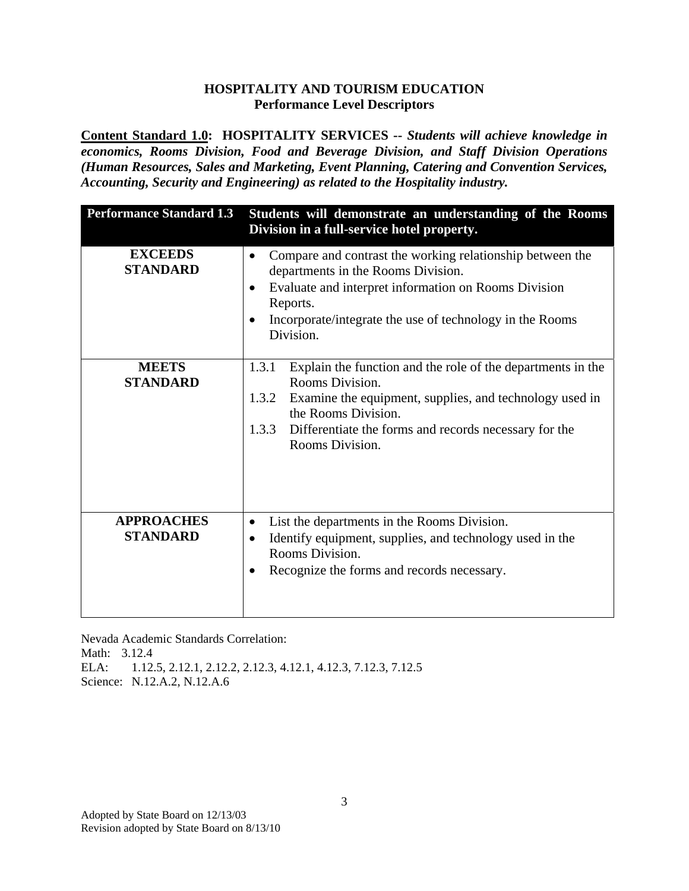**Content Standard 1.0: HOSPITALITY SERVICES --** *Students will achieve knowledge in economics, Rooms Division, Food and Beverage Division, and Staff Division Operations (Human Resources, Sales and Marketing, Event Planning, Catering and Convention Services, Accounting, Security and Engineering) as related to the Hospitality industry.* 

| <b>Performance Standard 1.3</b>      | Students will demonstrate an understanding of the Rooms<br>Division in a full-service hotel property.                                                                                                                                                                   |
|--------------------------------------|-------------------------------------------------------------------------------------------------------------------------------------------------------------------------------------------------------------------------------------------------------------------------|
| <b>EXCEEDS</b><br><b>STANDARD</b>    | Compare and contrast the working relationship between the<br>$\bullet$<br>departments in the Rooms Division.<br>Evaluate and interpret information on Rooms Division<br>$\bullet$<br>Reports.<br>Incorporate/integrate the use of technology in the Rooms<br>Division.  |
| <b>MEETS</b><br><b>STANDARD</b>      | Explain the function and the role of the departments in the<br>1.3.1<br>Rooms Division.<br>1.3.2<br>Examine the equipment, supplies, and technology used in<br>the Rooms Division.<br>1.3.3<br>Differentiate the forms and records necessary for the<br>Rooms Division. |
| <b>APPROACHES</b><br><b>STANDARD</b> | List the departments in the Rooms Division.<br>$\bullet$<br>Identify equipment, supplies, and technology used in the<br>Rooms Division.<br>Recognize the forms and records necessary.                                                                                   |

Nevada Academic Standards Correlation: Math: 3.12.4 ELA: 1.12.5, 2.12.1, 2.12.2, 2.12.3, 4.12.1, 4.12.3, 7.12.3, 7.12.5 Science: N.12.A.2, N.12.A.6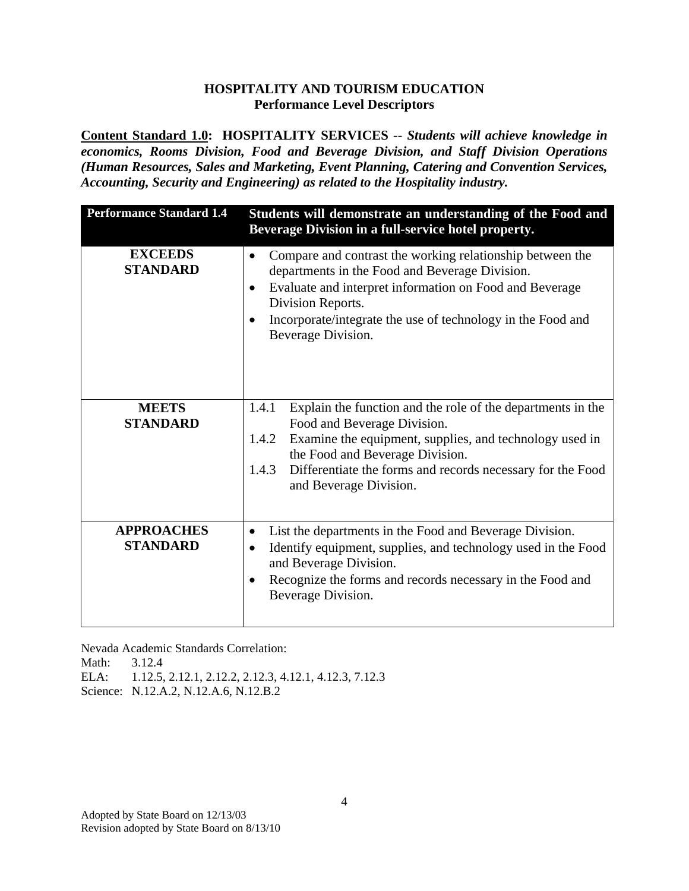**Content Standard 1.0: HOSPITALITY SERVICES** -- *Students will achieve knowledge in economics, Rooms Division, Food and Beverage Division, and Staff Division Operations (Human Resources, Sales and Marketing, Event Planning, Catering and Convention Services, Accounting, Security and Engineering) as related to the Hospitality industry.* 

| <b>Performance Standard 1.4</b>      | Students will demonstrate an understanding of the Food and<br>Beverage Division in a full-service hotel property.                                                                                                                                                                                               |
|--------------------------------------|-----------------------------------------------------------------------------------------------------------------------------------------------------------------------------------------------------------------------------------------------------------------------------------------------------------------|
| <b>EXCEEDS</b><br><b>STANDARD</b>    | Compare and contrast the working relationship between the<br>$\bullet$<br>departments in the Food and Beverage Division.<br>Evaluate and interpret information on Food and Beverage<br>$\bullet$<br>Division Reports.<br>Incorporate/integrate the use of technology in the Food and<br>٠<br>Beverage Division. |
| <b>MEETS</b><br><b>STANDARD</b>      | Explain the function and the role of the departments in the<br>1.4.1<br>Food and Beverage Division.<br>Examine the equipment, supplies, and technology used in<br>1.4.2<br>the Food and Beverage Division.<br>1.4.3<br>Differentiate the forms and records necessary for the Food<br>and Beverage Division.     |
| <b>APPROACHES</b><br><b>STANDARD</b> | List the departments in the Food and Beverage Division.<br>٠<br>Identify equipment, supplies, and technology used in the Food<br>$\bullet$<br>and Beverage Division.<br>Recognize the forms and records necessary in the Food and<br>$\bullet$<br>Beverage Division.                                            |

Nevada Academic Standards Correlation:

Math: 3.12.4

ELA: 1.12.5, 2.12.1, 2.12.2, 2.12.3, 4.12.1, 4.12.3, 7.12.3

Science: N.12.A.2, N.12.A.6, N.12.B.2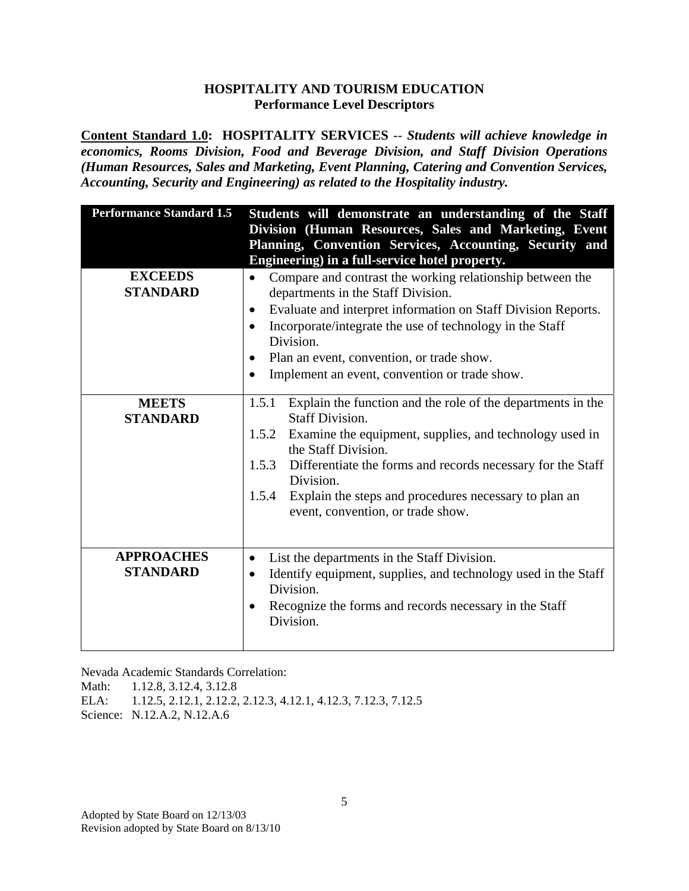**Content Standard 1.0: HOSPITALITY SERVICES** -- *Students will achieve knowledge in economics, Rooms Division, Food and Beverage Division, and Staff Division Operations (Human Resources, Sales and Marketing, Event Planning, Catering and Convention Services, Accounting, Security and Engineering) as related to the Hospitality industry.* 

| <b>Performance Standard 1.5</b>      | Students will demonstrate an understanding of the Staff                                                                                                                                                                                                                                                                                                                                                  |
|--------------------------------------|----------------------------------------------------------------------------------------------------------------------------------------------------------------------------------------------------------------------------------------------------------------------------------------------------------------------------------------------------------------------------------------------------------|
|                                      | Division (Human Resources, Sales and Marketing, Event                                                                                                                                                                                                                                                                                                                                                    |
|                                      | Planning, Convention Services, Accounting, Security and<br>Engineering) in a full-service hotel property.                                                                                                                                                                                                                                                                                                |
| <b>EXCEEDS</b><br><b>STANDARD</b>    | Compare and contrast the working relationship between the<br>$\bullet$<br>departments in the Staff Division.<br>Evaluate and interpret information on Staff Division Reports.<br>$\bullet$<br>Incorporate/integrate the use of technology in the Staff<br>$\bullet$<br>Division.<br>Plan an event, convention, or trade show.<br>$\bullet$<br>Implement an event, convention or trade show.<br>$\bullet$ |
| <b>MEETS</b><br><b>STANDARD</b>      | 1.5.1<br>Explain the function and the role of the departments in the<br><b>Staff Division.</b><br>1.5.2 Examine the equipment, supplies, and technology used in<br>the Staff Division.<br>1.5.3 Differentiate the forms and records necessary for the Staff<br>Division.<br>Explain the steps and procedures necessary to plan an<br>1.5.4<br>event, convention, or trade show.                          |
| <b>APPROACHES</b><br><b>STANDARD</b> | List the departments in the Staff Division.<br>$\bullet$<br>Identify equipment, supplies, and technology used in the Staff<br>$\bullet$<br>Division.<br>Recognize the forms and records necessary in the Staff<br>$\bullet$<br>Division.                                                                                                                                                                 |

Nevada Academic Standards Correlation:

Math: 1.12.8, 3.12.4, 3.12.8

ELA: 1.12.5, 2.12.1, 2.12.2, 2.12.3, 4.12.1, 4.12.3, 7.12.3, 7.12.5

Science: N.12.A.2, N.12.A.6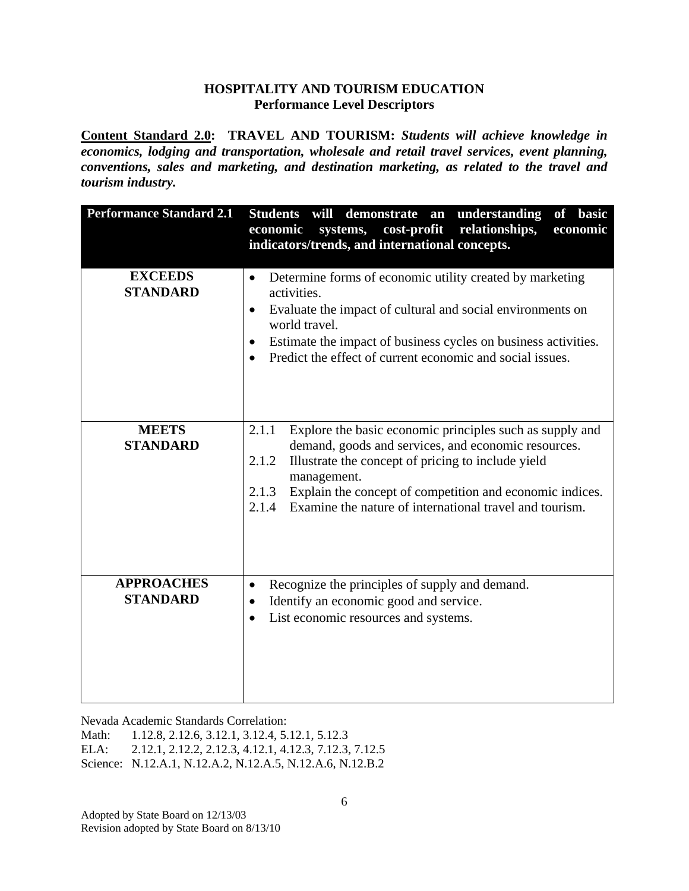**Content Standard 2.0: TRAVEL AND TOURISM:** *Students will achieve knowledge in economics, lodging and transportation, wholesale and retail travel services, event planning, conventions, sales and marketing, and destination marketing, as related to the travel and tourism industry.*

| <b>Performance Standard 2.1</b>      | Students will<br>demonstrate an<br>understanding<br>of basic<br>systems,<br>cost-profit<br>relationships,<br>economic<br>economic<br>indicators/trends, and international concepts.                                                                                                                                                             |
|--------------------------------------|-------------------------------------------------------------------------------------------------------------------------------------------------------------------------------------------------------------------------------------------------------------------------------------------------------------------------------------------------|
| <b>EXCEEDS</b><br><b>STANDARD</b>    | Determine forms of economic utility created by marketing<br>$\bullet$<br>activities.<br>Evaluate the impact of cultural and social environments on<br>$\bullet$<br>world travel.<br>Estimate the impact of business cycles on business activities.<br>$\bullet$<br>Predict the effect of current economic and social issues.                    |
| <b>MEETS</b><br><b>STANDARD</b>      | Explore the basic economic principles such as supply and<br>2.1.1<br>demand, goods and services, and economic resources.<br>2.1.2<br>Illustrate the concept of pricing to include yield<br>management.<br>Explain the concept of competition and economic indices.<br>2.1.3<br>Examine the nature of international travel and tourism.<br>2.1.4 |
| <b>APPROACHES</b><br><b>STANDARD</b> | Recognize the principles of supply and demand.<br>$\bullet$<br>Identify an economic good and service.<br>$\bullet$<br>List economic resources and systems.<br>$\bullet$                                                                                                                                                                         |

Nevada Academic Standards Correlation:

Math: 1.12.8, 2.12.6, 3.12.1, 3.12.4, 5.12.1, 5.12.3

ELA: 2.12.1, 2.12.2, 2.12.3, 4.12.1, 4.12.3, 7.12.3, 7.12.5

Science: N.12.A.1, N.12.A.2, N.12.A.5, N.12.A.6, N.12.B.2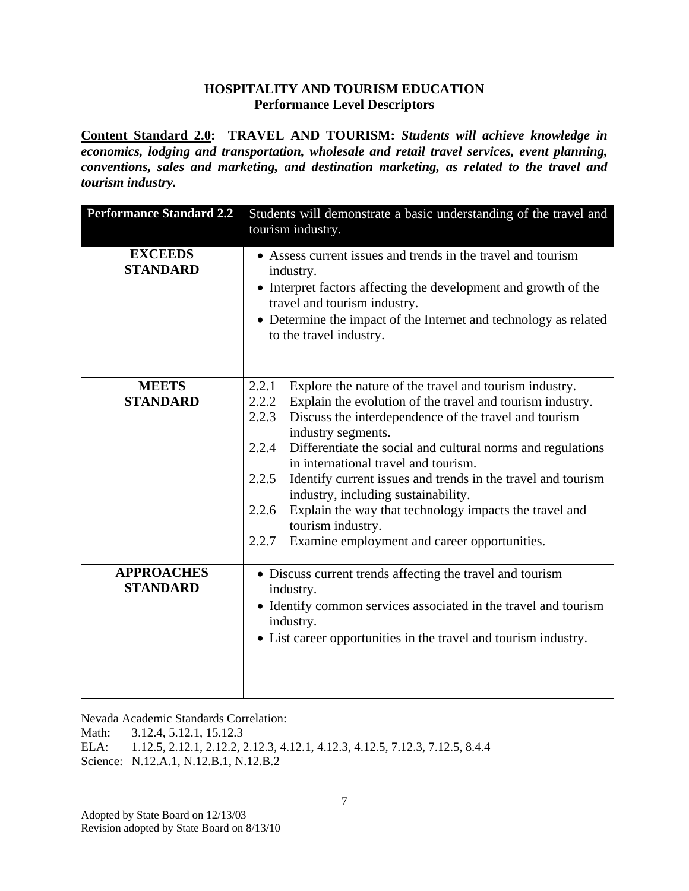**Content Standard 2.0: TRAVEL AND TOURISM:** *Students will achieve knowledge in economics, lodging and transportation, wholesale and retail travel services, event planning, conventions, sales and marketing, and destination marketing, as related to the travel and tourism industry.*

| <b>Performance Standard 2.2</b>      | Students will demonstrate a basic understanding of the travel and                                                                                                                                                                                                           |
|--------------------------------------|-----------------------------------------------------------------------------------------------------------------------------------------------------------------------------------------------------------------------------------------------------------------------------|
|                                      | tourism industry.                                                                                                                                                                                                                                                           |
| <b>EXCEEDS</b><br><b>STANDARD</b>    | • Assess current issues and trends in the travel and tourism<br>industry.<br>• Interpret factors affecting the development and growth of the<br>travel and tourism industry.<br>• Determine the impact of the Internet and technology as related<br>to the travel industry. |
| <b>MEETS</b>                         | Explore the nature of the travel and tourism industry.<br>2.2.1                                                                                                                                                                                                             |
| <b>STANDARD</b>                      | 2.2.2<br>Explain the evolution of the travel and tourism industry.                                                                                                                                                                                                          |
|                                      | 2.2.3<br>Discuss the interdependence of the travel and tourism<br>industry segments.                                                                                                                                                                                        |
|                                      | 2.2.4<br>Differentiate the social and cultural norms and regulations                                                                                                                                                                                                        |
|                                      | in international travel and tourism.                                                                                                                                                                                                                                        |
|                                      | 2.2.5<br>Identify current issues and trends in the travel and tourism<br>industry, including sustainability.                                                                                                                                                                |
|                                      | Explain the way that technology impacts the travel and<br>2.2.6<br>tourism industry.                                                                                                                                                                                        |
|                                      | Examine employment and career opportunities.<br>2.2.7                                                                                                                                                                                                                       |
| <b>APPROACHES</b><br><b>STANDARD</b> | • Discuss current trends affecting the travel and tourism<br>industry.<br>• Identify common services associated in the travel and tourism<br>industry.<br>• List career opportunities in the travel and tourism industry.                                                   |

Nevada Academic Standards Correlation:

Math: 3.12.4, 5.12.1, 15.12.3

ELA: 1.12.5, 2.12.1, 2.12.2, 2.12.3, 4.12.1, 4.12.3, 4.12.5, 7.12.3, 7.12.5, 8.4.4 Science: N.12.A.1, N.12.B.1, N.12.B.2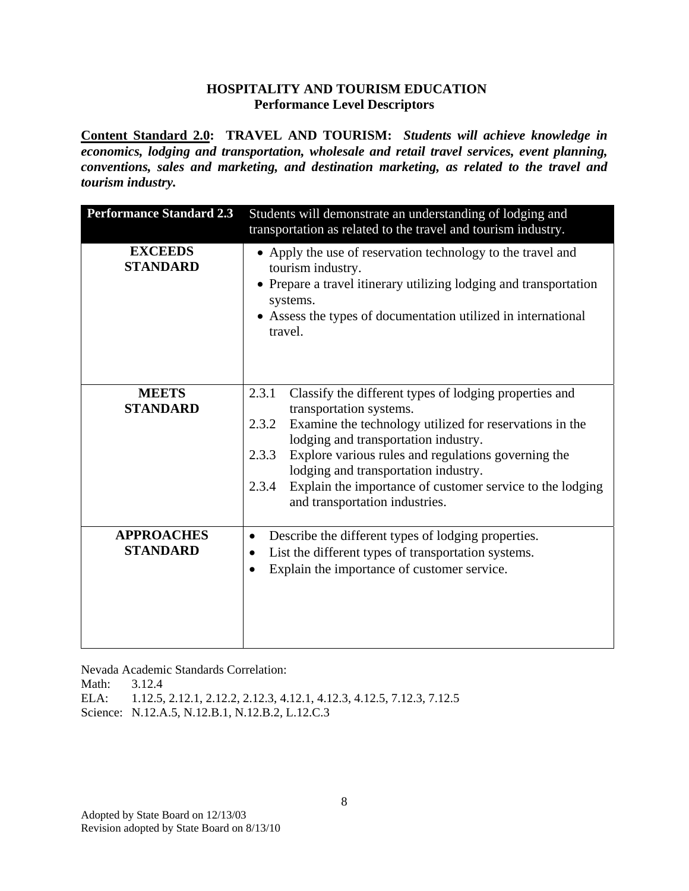**Content Standard 2.0: TRAVEL AND TOURISM:** *Students will achieve knowledge in economics, lodging and transportation, wholesale and retail travel services, event planning, conventions, sales and marketing, and destination marketing, as related to the travel and tourism industry.*

| <b>Performance Standard 2.3</b>      | Students will demonstrate an understanding of lodging and<br>transportation as related to the travel and tourism industry.                                                                                                                                                                                                                                                                                             |
|--------------------------------------|------------------------------------------------------------------------------------------------------------------------------------------------------------------------------------------------------------------------------------------------------------------------------------------------------------------------------------------------------------------------------------------------------------------------|
| <b>EXCEEDS</b><br><b>STANDARD</b>    | • Apply the use of reservation technology to the travel and<br>tourism industry.<br>• Prepare a travel itinerary utilizing lodging and transportation<br>systems.<br>• Assess the types of documentation utilized in international<br>travel.                                                                                                                                                                          |
| <b>MEETS</b><br><b>STANDARD</b>      | Classify the different types of lodging properties and<br>2.3.1<br>transportation systems.<br>Examine the technology utilized for reservations in the<br>2.3.2<br>lodging and transportation industry.<br>Explore various rules and regulations governing the<br>2.3.3<br>lodging and transportation industry.<br>Explain the importance of customer service to the lodging<br>2.3.4<br>and transportation industries. |
| <b>APPROACHES</b><br><b>STANDARD</b> | Describe the different types of lodging properties.<br>٠<br>List the different types of transportation systems.<br>$\bullet$<br>Explain the importance of customer service.                                                                                                                                                                                                                                            |

Nevada Academic Standards Correlation:

Math: 3.12.4

ELA: 1.12.5, 2.12.1, 2.12.2, 2.12.3, 4.12.1, 4.12.3, 4.12.5, 7.12.3, 7.12.5

Science: N.12.A.5, N.12.B.1, N.12.B.2, L.12.C.3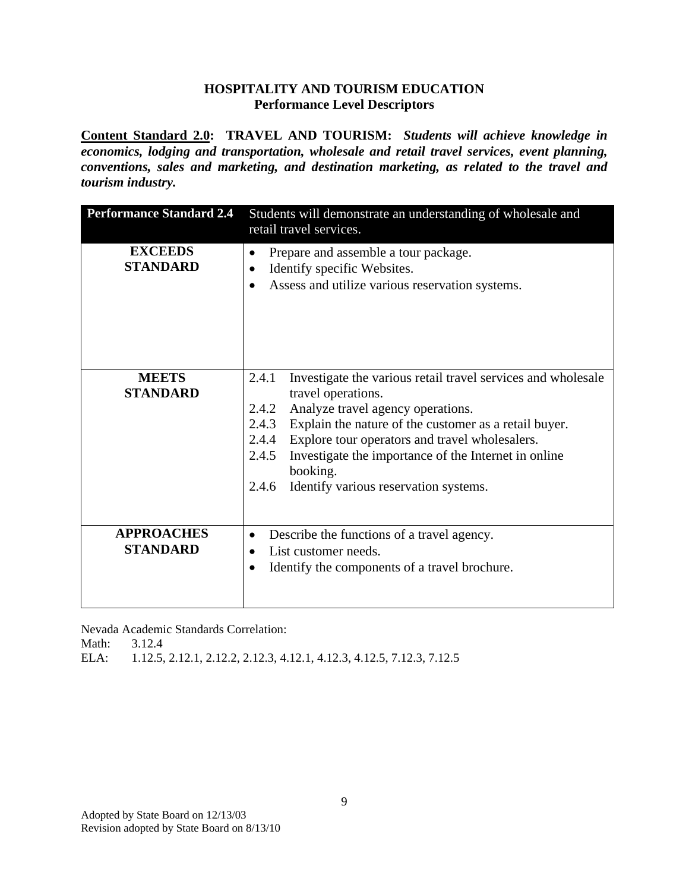**Content Standard 2.0: TRAVEL AND TOURISM:** *Students will achieve knowledge in economics, lodging and transportation, wholesale and retail travel services, event planning, conventions, sales and marketing, and destination marketing, as related to the travel and tourism industry.*

| <b>Performance Standard 2.4</b>      | Students will demonstrate an understanding of wholesale and<br>retail travel services.                                                                                                                                                                                                                                                                                                                |
|--------------------------------------|-------------------------------------------------------------------------------------------------------------------------------------------------------------------------------------------------------------------------------------------------------------------------------------------------------------------------------------------------------------------------------------------------------|
| <b>EXCEEDS</b><br><b>STANDARD</b>    | Prepare and assemble a tour package.<br>Identify specific Websites.<br>$\bullet$<br>Assess and utilize various reservation systems.<br>$\bullet$                                                                                                                                                                                                                                                      |
| <b>MEETS</b><br><b>STANDARD</b>      | Investigate the various retail travel services and wholesale<br>2.4.1<br>travel operations.<br>Analyze travel agency operations.<br>2.4.2<br>2.4.3<br>Explain the nature of the customer as a retail buyer.<br>Explore tour operators and travel wholesalers.<br>2.4.4<br>Investigate the importance of the Internet in online<br>2.4.5<br>booking.<br>Identify various reservation systems.<br>2.4.6 |
| <b>APPROACHES</b><br><b>STANDARD</b> | Describe the functions of a travel agency.<br>List customer needs.<br>Identify the components of a travel brochure.                                                                                                                                                                                                                                                                                   |

Nevada Academic Standards Correlation:

Math: 3.12.4

ELA: 1.12.5, 2.12.1, 2.12.2, 2.12.3, 4.12.1, 4.12.3, 4.12.5, 7.12.3, 7.12.5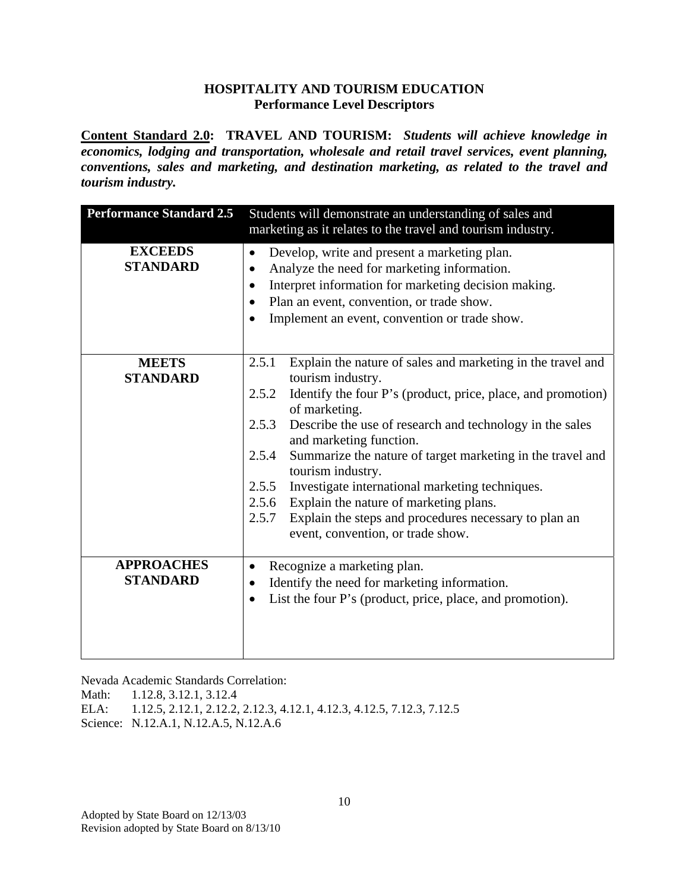**Content Standard 2.0: TRAVEL AND TOURISM:** *Students will achieve knowledge in economics, lodging and transportation, wholesale and retail travel services, event planning, conventions, sales and marketing, and destination marketing, as related to the travel and tourism industry.*

| <b>Performance Standard 2.5</b>      | Students will demonstrate an understanding of sales and<br>marketing as it relates to the travel and tourism industry.                                                                                                                                                                                                                                                                                                                                                                                                                                                                                |
|--------------------------------------|-------------------------------------------------------------------------------------------------------------------------------------------------------------------------------------------------------------------------------------------------------------------------------------------------------------------------------------------------------------------------------------------------------------------------------------------------------------------------------------------------------------------------------------------------------------------------------------------------------|
| <b>EXCEEDS</b><br><b>STANDARD</b>    | Develop, write and present a marketing plan.<br>$\bullet$<br>Analyze the need for marketing information.<br>٠<br>Interpret information for marketing decision making.<br>$\bullet$<br>Plan an event, convention, or trade show.<br>$\bullet$<br>Implement an event, convention or trade show.<br>$\bullet$                                                                                                                                                                                                                                                                                            |
| <b>MEETS</b><br><b>STANDARD</b>      | Explain the nature of sales and marketing in the travel and<br>2.5.1<br>tourism industry.<br>Identify the four P's (product, price, place, and promotion)<br>2.5.2<br>of marketing.<br>2.5.3<br>Describe the use of research and technology in the sales<br>and marketing function.<br>Summarize the nature of target marketing in the travel and<br>2.5.4<br>tourism industry.<br>2.5.5<br>Investigate international marketing techniques.<br>Explain the nature of marketing plans.<br>2.5.6<br>Explain the steps and procedures necessary to plan an<br>2.5.7<br>event, convention, or trade show. |
| <b>APPROACHES</b><br><b>STANDARD</b> | Recognize a marketing plan.<br>$\bullet$<br>Identify the need for marketing information.<br>٠<br>List the four P's (product, price, place, and promotion).<br>$\bullet$                                                                                                                                                                                                                                                                                                                                                                                                                               |

Nevada Academic Standards Correlation:

Math: 1.12.8, 3.12.1, 3.12.4

ELA: 1.12.5, 2.12.1, 2.12.2, 2.12.3, 4.12.1, 4.12.3, 4.12.5, 7.12.3, 7.12.5 Science: N.12.A.1, N.12.A.5, N.12.A.6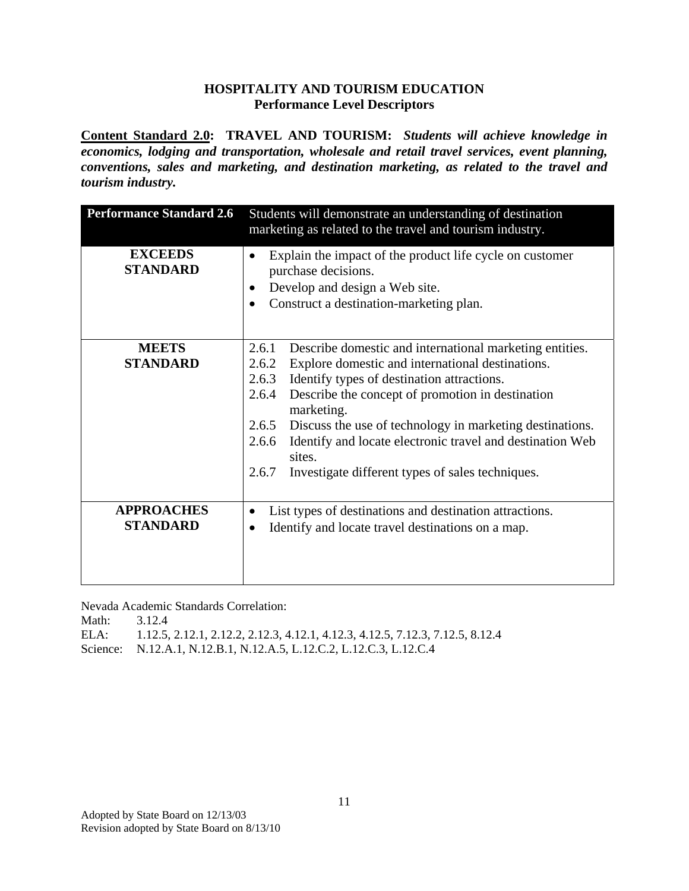**Content Standard 2.0: TRAVEL AND TOURISM:** *Students will achieve knowledge in economics, lodging and transportation, wholesale and retail travel services, event planning, conventions, sales and marketing, and destination marketing, as related to the travel and tourism industry.*

| <b>Performance Standard 2.6</b>      | Students will demonstrate an understanding of destination<br>marketing as related to the travel and tourism industry.                                                                                                                                                                                                                                                                                                                                                             |
|--------------------------------------|-----------------------------------------------------------------------------------------------------------------------------------------------------------------------------------------------------------------------------------------------------------------------------------------------------------------------------------------------------------------------------------------------------------------------------------------------------------------------------------|
| <b>EXCEEDS</b><br><b>STANDARD</b>    | Explain the impact of the product life cycle on customer<br>$\bullet$<br>purchase decisions.<br>Develop and design a Web site.<br>Construct a destination-marketing plan.                                                                                                                                                                                                                                                                                                         |
| <b>MEETS</b><br><b>STANDARD</b>      | Describe domestic and international marketing entities.<br>2.6.1<br>Explore domestic and international destinations.<br>2.6.2<br>Identify types of destination attractions.<br>2.6.3<br>Describe the concept of promotion in destination<br>2.6.4<br>marketing.<br>Discuss the use of technology in marketing destinations.<br>2.6.5<br>Identify and locate electronic travel and destination Web<br>2.6.6<br>sites.<br>2.6.7<br>Investigate different types of sales techniques. |
| <b>APPROACHES</b><br><b>STANDARD</b> | List types of destinations and destination attractions.<br>$\bullet$<br>Identify and locate travel destinations on a map.<br>$\bullet$                                                                                                                                                                                                                                                                                                                                            |

Nevada Academic Standards Correlation:

| Math: | 3.12.4                                                                         |
|-------|--------------------------------------------------------------------------------|
| ELA:  | 1.12.5, 2.12.1, 2.12.2, 2.12.3, 4.12.1, 4.12.3, 4.12.5, 7.12.3, 7.12.5, 8.12.4 |
|       | Science: N.12.A.1, N.12.B.1, N.12.A.5, L.12.C.2, L.12.C.3, L.12.C.4            |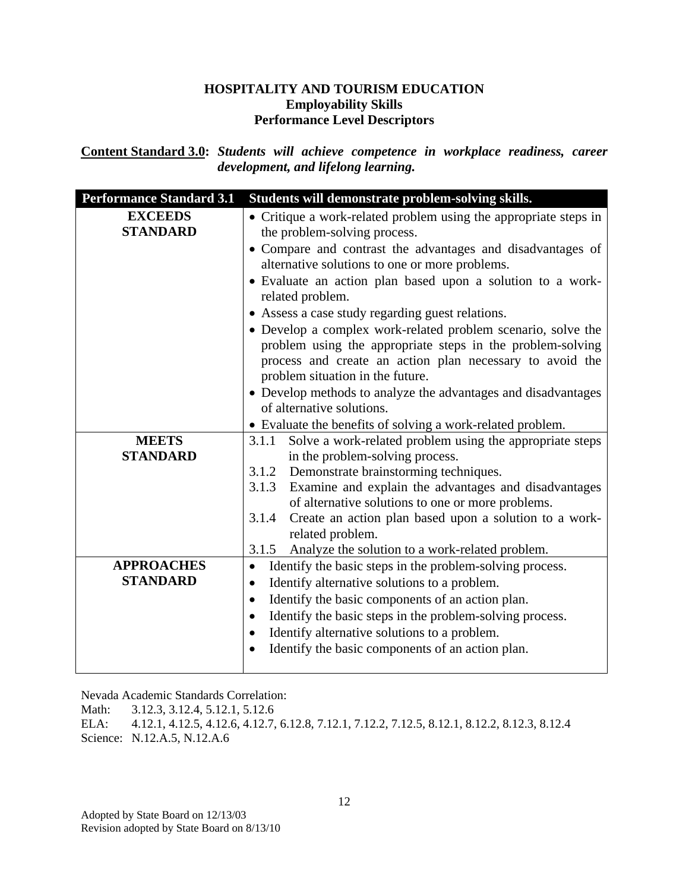**Content Standard 3.0:** *Students will achieve competence in workplace readiness, career development, and lifelong learning.*

| <b>Performance Standard 3.1</b> | Students will demonstrate problem-solving skills.                                                                                                                                                                          |
|---------------------------------|----------------------------------------------------------------------------------------------------------------------------------------------------------------------------------------------------------------------------|
| <b>EXCEEDS</b>                  | • Critique a work-related problem using the appropriate steps in                                                                                                                                                           |
| <b>STANDARD</b>                 | the problem-solving process.                                                                                                                                                                                               |
|                                 | • Compare and contrast the advantages and disadvantages of<br>alternative solutions to one or more problems.                                                                                                               |
|                                 | • Evaluate an action plan based upon a solution to a work-<br>related problem.                                                                                                                                             |
|                                 | • Assess a case study regarding guest relations.                                                                                                                                                                           |
|                                 | • Develop a complex work-related problem scenario, solve the<br>problem using the appropriate steps in the problem-solving<br>process and create an action plan necessary to avoid the<br>problem situation in the future. |
|                                 | • Develop methods to analyze the advantages and disadvantages                                                                                                                                                              |
|                                 | of alternative solutions.                                                                                                                                                                                                  |
|                                 | • Evaluate the benefits of solving a work-related problem.                                                                                                                                                                 |
| <b>MEETS</b>                    | Solve a work-related problem using the appropriate steps<br>3.1.1                                                                                                                                                          |
| <b>STANDARD</b>                 | in the problem-solving process.                                                                                                                                                                                            |
|                                 | Demonstrate brainstorming techniques.<br>3.1.2                                                                                                                                                                             |
|                                 | Examine and explain the advantages and disadvantages<br>3.1.3                                                                                                                                                              |
|                                 | of alternative solutions to one or more problems.                                                                                                                                                                          |
|                                 | Create an action plan based upon a solution to a work-<br>3.1.4                                                                                                                                                            |
|                                 | related problem.                                                                                                                                                                                                           |
|                                 | Analyze the solution to a work-related problem.<br>3.1.5                                                                                                                                                                   |
| <b>APPROACHES</b>               | Identify the basic steps in the problem-solving process.<br>$\bullet$                                                                                                                                                      |
| <b>STANDARD</b>                 | Identify alternative solutions to a problem.<br>$\bullet$                                                                                                                                                                  |
|                                 | Identify the basic components of an action plan.<br>$\bullet$                                                                                                                                                              |
|                                 | Identify the basic steps in the problem-solving process.<br>٠                                                                                                                                                              |
|                                 | Identify alternative solutions to a problem.                                                                                                                                                                               |
|                                 | Identify the basic components of an action plan.<br>$\bullet$                                                                                                                                                              |
|                                 |                                                                                                                                                                                                                            |

Nevada Academic Standards Correlation:

Math: 3.12.3, 3.12.4, 5.12.1, 5.12.6

ELA: 4.12.1, 4.12.5, 4.12.6, 4.12.7, 6.12.8, 7.12.1, 7.12.2, 7.12.5, 8.12.1, 8.12.2, 8.12.3, 8.12.4 Science: N.12.A.5, N.12.A.6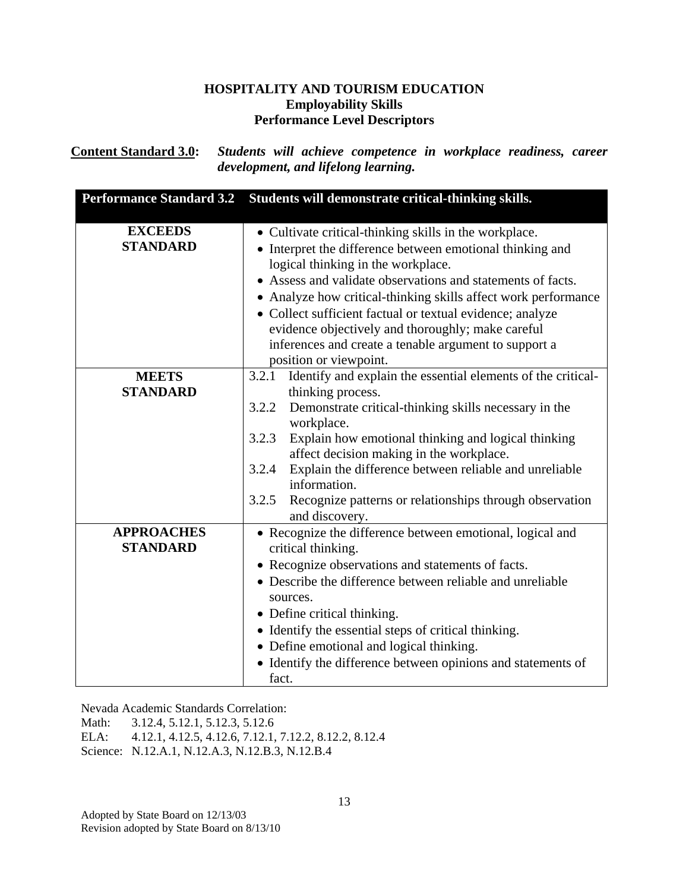**Content Standard 3.0:** *Students will achieve competence in workplace readiness, career development, and lifelong learning.*

| <b>Performance Standard 3.2</b>      | Students will demonstrate critical-thinking skills.                                                                                                                                                                                                                                                                                                                                                                                                                                             |
|--------------------------------------|-------------------------------------------------------------------------------------------------------------------------------------------------------------------------------------------------------------------------------------------------------------------------------------------------------------------------------------------------------------------------------------------------------------------------------------------------------------------------------------------------|
| <b>EXCEEDS</b><br><b>STANDARD</b>    | • Cultivate critical-thinking skills in the workplace.<br>• Interpret the difference between emotional thinking and<br>logical thinking in the workplace.<br>• Assess and validate observations and statements of facts.<br>• Analyze how critical-thinking skills affect work performance<br>• Collect sufficient factual or textual evidence; analyze<br>evidence objectively and thoroughly; make careful<br>inferences and create a tenable argument to support a<br>position or viewpoint. |
| <b>MEETS</b><br><b>STANDARD</b>      | Identify and explain the essential elements of the critical-<br>3.2.1<br>thinking process.<br>3.2.2<br>Demonstrate critical-thinking skills necessary in the<br>workplace.<br>Explain how emotional thinking and logical thinking<br>3.2.3<br>affect decision making in the workplace.<br>Explain the difference between reliable and unreliable<br>3.2.4<br>information.<br>3.2.5<br>Recognize patterns or relationships through observation<br>and discovery.                                 |
| <b>APPROACHES</b><br><b>STANDARD</b> | • Recognize the difference between emotional, logical and<br>critical thinking.<br>• Recognize observations and statements of facts.<br>• Describe the difference between reliable and unreliable<br>sources.<br>• Define critical thinking.<br>• Identify the essential steps of critical thinking.<br>• Define emotional and logical thinking.<br>• Identify the difference between opinions and statements of<br>fact.                                                                       |

Nevada Academic Standards Correlation:

Math: 3.12.4, 5.12.1, 5.12.3, 5.12.6

ELA: 4.12.1, 4.12.5, 4.12.6, 7.12.1, 7.12.2, 8.12.2, 8.12.4

Science: N.12.A.1, N.12.A.3, N.12.B.3, N.12.B.4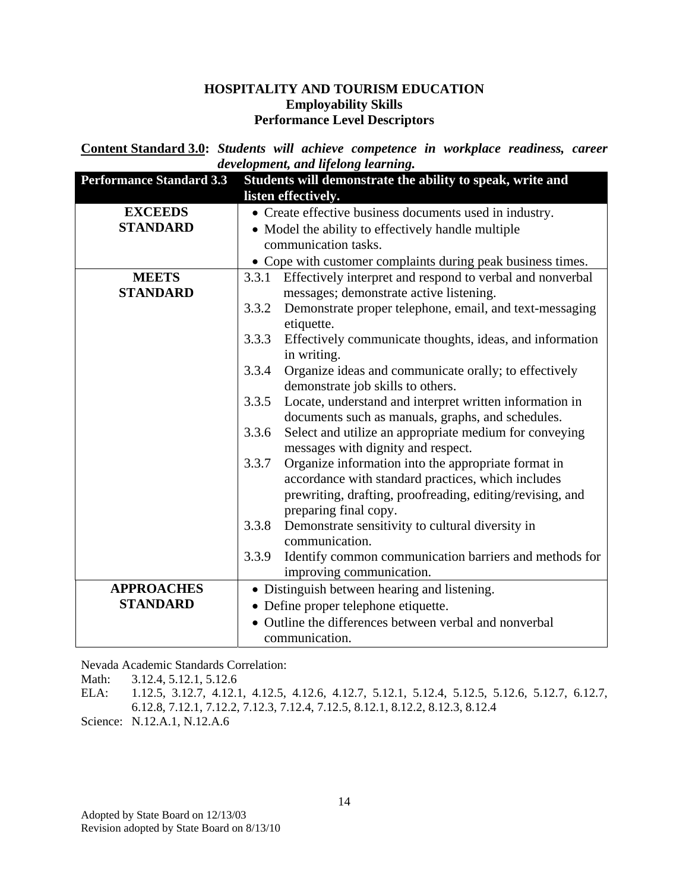**Content Standard 3.0:** *Students will achieve competence in workplace readiness, career development, and lifelong learning.*

| <b>Performance Standard 3.3</b> | Students will demonstrate the ability to speak, write and<br>listen effectively. |
|---------------------------------|----------------------------------------------------------------------------------|
| <b>EXCEEDS</b>                  | • Create effective business documents used in industry.                          |
| <b>STANDARD</b>                 | • Model the ability to effectively handle multiple                               |
|                                 | communication tasks.                                                             |
|                                 | • Cope with customer complaints during peak business times.                      |
| <b>MEETS</b>                    | 3.3.1 Effectively interpret and respond to verbal and nonverbal                  |
| <b>STANDARD</b>                 | messages; demonstrate active listening.                                          |
|                                 | Demonstrate proper telephone, email, and text-messaging<br>3.3.2                 |
|                                 | etiquette.                                                                       |
|                                 | 3.3.3<br>Effectively communicate thoughts, ideas, and information                |
|                                 | in writing.                                                                      |
|                                 | Organize ideas and communicate orally; to effectively<br>3.3.4                   |
|                                 | demonstrate job skills to others.                                                |
|                                 | 3.3.5<br>Locate, understand and interpret written information in                 |
|                                 | documents such as manuals, graphs, and schedules.                                |
|                                 | Select and utilize an appropriate medium for conveying<br>3.3.6                  |
|                                 | messages with dignity and respect.                                               |
|                                 | Organize information into the appropriate format in<br>3.3.7                     |
|                                 | accordance with standard practices, which includes                               |
|                                 | prewriting, drafting, proofreading, editing/revising, and                        |
|                                 | preparing final copy.                                                            |
|                                 | 3.3.8<br>Demonstrate sensitivity to cultural diversity in                        |
|                                 | communication.                                                                   |
|                                 | 3.3.9<br>Identify common communication barriers and methods for                  |
|                                 | improving communication.                                                         |
| <b>APPROACHES</b>               | • Distinguish between hearing and listening.                                     |
| <b>STANDARD</b>                 | • Define proper telephone etiquette.                                             |
|                                 | • Outline the differences between verbal and nonverbal                           |
|                                 | communication.                                                                   |

Nevada Academic Standards Correlation:

Math: 3.12.4, 5.12.1, 5.12.6

ELA: 1.12.5, 3.12.7, 4.12.1, 4.12.5, 4.12.6, 4.12.7, 5.12.1, 5.12.4, 5.12.5, 5.12.6, 5.12.7, 6.12.7, 6.12.8, 7.12.1, 7.12.2, 7.12.3, 7.12.4, 7.12.5, 8.12.1, 8.12.2, 8.12.3, 8.12.4

Science: N.12.A.1, N.12.A.6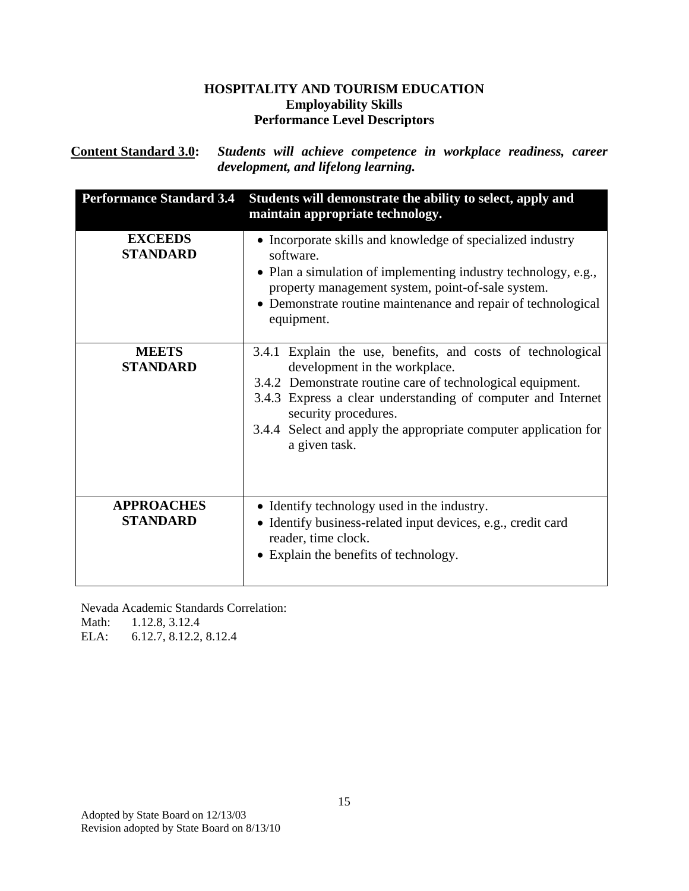**Content Standard 3.0:** *Students will achieve competence in workplace readiness, career development, and lifelong learning.*

| <b>Performance Standard 3.4</b>      | Students will demonstrate the ability to select, apply and<br>maintain appropriate technology.                                                                                                                                                                                                                                         |
|--------------------------------------|----------------------------------------------------------------------------------------------------------------------------------------------------------------------------------------------------------------------------------------------------------------------------------------------------------------------------------------|
| <b>EXCEEDS</b><br><b>STANDARD</b>    | • Incorporate skills and knowledge of specialized industry<br>software.<br>• Plan a simulation of implementing industry technology, e.g.,<br>property management system, point-of-sale system.<br>• Demonstrate routine maintenance and repair of technological<br>equipment.                                                          |
| <b>MEETS</b><br><b>STANDARD</b>      | 3.4.1 Explain the use, benefits, and costs of technological<br>development in the workplace.<br>3.4.2 Demonstrate routine care of technological equipment.<br>3.4.3 Express a clear understanding of computer and Internet<br>security procedures.<br>3.4.4 Select and apply the appropriate computer application for<br>a given task. |
| <b>APPROACHES</b><br><b>STANDARD</b> | • Identify technology used in the industry.<br>• Identify business-related input devices, e.g., credit card<br>reader, time clock.<br>• Explain the benefits of technology.                                                                                                                                                            |

Nevada Academic Standards Correlation: Math: 1.12.8, 3.12.4

ELA: 6.12.7, 8.12.2, 8.12.4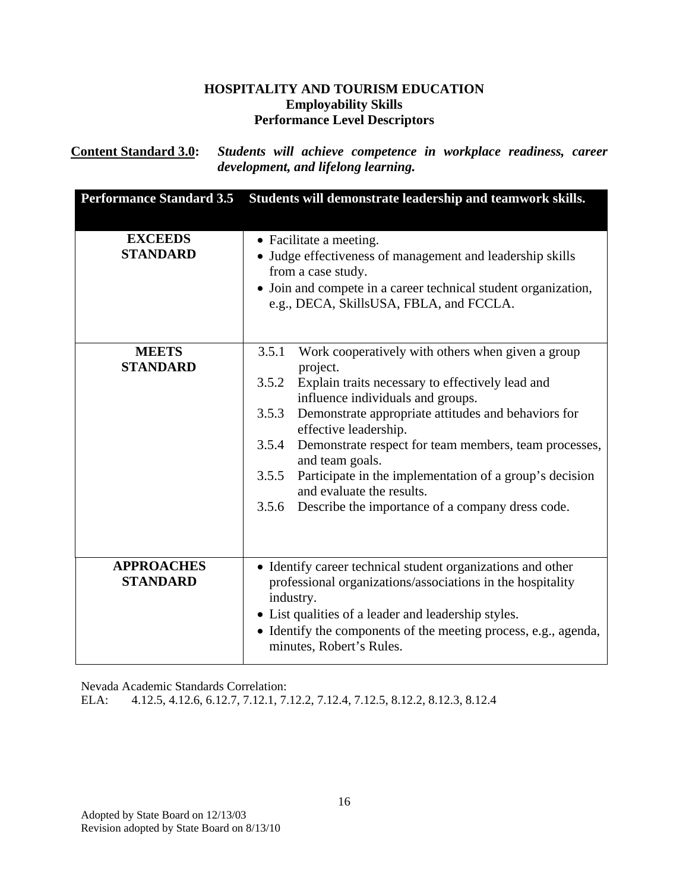**Content Standard 3.0:** *Students will achieve competence in workplace readiness, career development, and lifelong learning.*

| <b>Performance Standard 3.5</b>      | Students will demonstrate leadership and teamwork skills.                                                                                                                                                                                                                                                                                                                                                                                                                                                         |
|--------------------------------------|-------------------------------------------------------------------------------------------------------------------------------------------------------------------------------------------------------------------------------------------------------------------------------------------------------------------------------------------------------------------------------------------------------------------------------------------------------------------------------------------------------------------|
| <b>EXCEEDS</b><br><b>STANDARD</b>    | • Facilitate a meeting.<br>• Judge effectiveness of management and leadership skills<br>from a case study.<br>• Join and compete in a career technical student organization,<br>e.g., DECA, SkillsUSA, FBLA, and FCCLA.                                                                                                                                                                                                                                                                                           |
| <b>MEETS</b><br><b>STANDARD</b>      | 3.5.1<br>Work cooperatively with others when given a group<br>project.<br>3.5.2 Explain traits necessary to effectively lead and<br>influence individuals and groups.<br>Demonstrate appropriate attitudes and behaviors for<br>3.5.3<br>effective leadership.<br>3.5.4<br>Demonstrate respect for team members, team processes,<br>and team goals.<br>Participate in the implementation of a group's decision<br>3.5.5<br>and evaluate the results.<br>Describe the importance of a company dress code.<br>3.5.6 |
| <b>APPROACHES</b><br><b>STANDARD</b> | • Identify career technical student organizations and other<br>professional organizations/associations in the hospitality<br>industry.<br>• List qualities of a leader and leadership styles.<br>• Identify the components of the meeting process, e.g., agenda,<br>minutes, Robert's Rules.                                                                                                                                                                                                                      |

Nevada Academic Standards Correlation:

ELA: 4.12.5, 4.12.6, 6.12.7, 7.12.1, 7.12.2, 7.12.4, 7.12.5, 8.12.2, 8.12.3, 8.12.4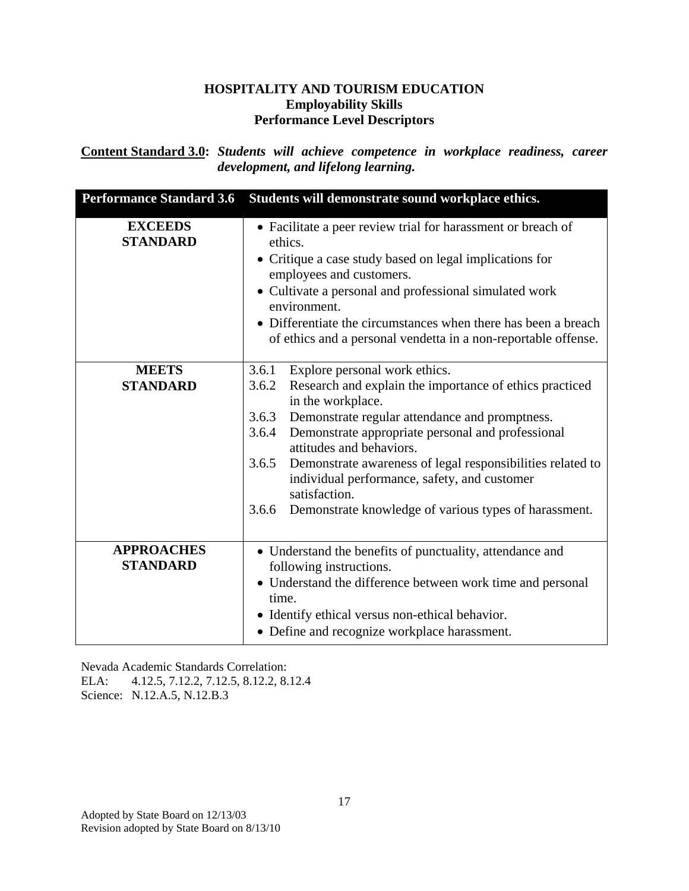**Content Standard 3.0:** *Students will achieve competence in workplace readiness, career development, and lifelong learning.*

| <b>Performance Standard 3.6</b>      | Students will demonstrate sound workplace ethics.                                                                                                                                                                                                                                                                                                                                                                                                                                              |
|--------------------------------------|------------------------------------------------------------------------------------------------------------------------------------------------------------------------------------------------------------------------------------------------------------------------------------------------------------------------------------------------------------------------------------------------------------------------------------------------------------------------------------------------|
| <b>EXCEEDS</b><br><b>STANDARD</b>    | • Facilitate a peer review trial for harassment or breach of<br>ethics.<br>• Critique a case study based on legal implications for<br>employees and customers.<br>• Cultivate a personal and professional simulated work<br>environment.<br>• Differentiate the circumstances when there has been a breach<br>of ethics and a personal vendetta in a non-reportable offense.                                                                                                                   |
| <b>MEETS</b><br><b>STANDARD</b>      | Explore personal work ethics.<br>3.6.1<br>3.6.2<br>Research and explain the importance of ethics practiced<br>in the workplace.<br>Demonstrate regular attendance and promptness.<br>3.6.3<br>3.6.4<br>Demonstrate appropriate personal and professional<br>attitudes and behaviors.<br>3.6.5<br>Demonstrate awareness of legal responsibilities related to<br>individual performance, safety, and customer<br>satisfaction.<br>Demonstrate knowledge of various types of harassment.<br>3.6.6 |
| <b>APPROACHES</b><br><b>STANDARD</b> | • Understand the benefits of punctuality, attendance and<br>following instructions.<br>• Understand the difference between work time and personal<br>time.<br>• Identify ethical versus non-ethical behavior.<br>• Define and recognize workplace harassment.                                                                                                                                                                                                                                  |

Nevada Academic Standards Correlation: ELA: 4.12.5, 7.12.2, 7.12.5, 8.12.2, 8.12.4 Science: N.12.A.5, N.12.B.3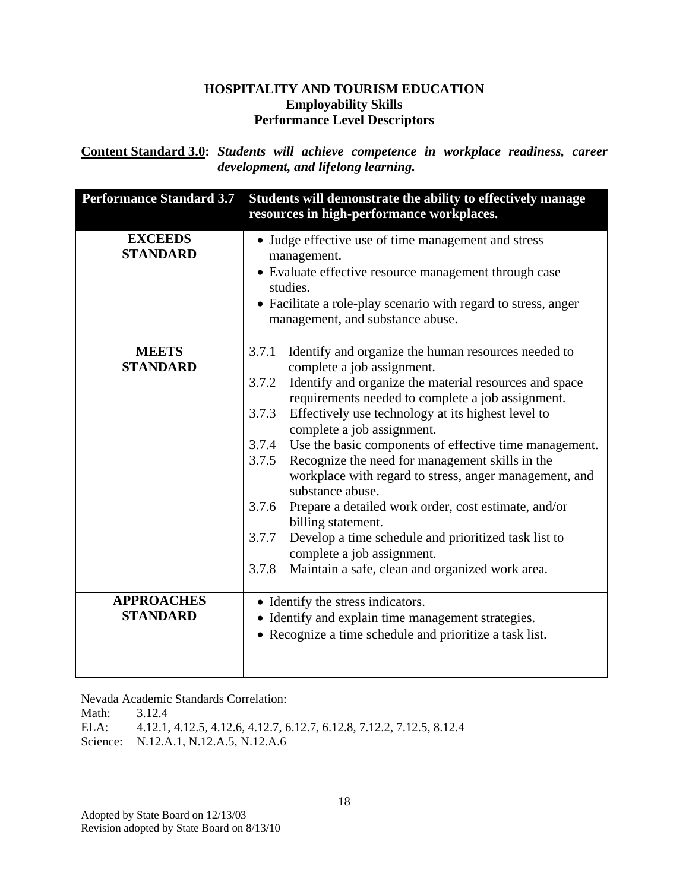**Content Standard 3.0:** *Students will achieve competence in workplace readiness, career development, and lifelong learning.*

| <b>Performance Standard 3.7</b>      | Students will demonstrate the ability to effectively manage<br>resources in high-performance workplaces.                                                                                                                                                                                                                                                                                                                                                                                                                                                                                                                                                                                                    |
|--------------------------------------|-------------------------------------------------------------------------------------------------------------------------------------------------------------------------------------------------------------------------------------------------------------------------------------------------------------------------------------------------------------------------------------------------------------------------------------------------------------------------------------------------------------------------------------------------------------------------------------------------------------------------------------------------------------------------------------------------------------|
| <b>EXCEEDS</b><br><b>STANDARD</b>    | • Judge effective use of time management and stress<br>management.<br>• Evaluate effective resource management through case<br>studies.<br>• Facilitate a role-play scenario with regard to stress, anger<br>management, and substance abuse.                                                                                                                                                                                                                                                                                                                                                                                                                                                               |
| <b>MEETS</b>                         | Identify and organize the human resources needed to<br>3.7.1                                                                                                                                                                                                                                                                                                                                                                                                                                                                                                                                                                                                                                                |
| <b>STANDARD</b>                      | complete a job assignment.<br>Identify and organize the material resources and space<br>3.7.2<br>requirements needed to complete a job assignment.<br>3.7.3<br>Effectively use technology at its highest level to<br>complete a job assignment.<br>3.7.4 Use the basic components of effective time management.<br>Recognize the need for management skills in the<br>3.7.5<br>workplace with regard to stress, anger management, and<br>substance abuse.<br>3.7.6<br>Prepare a detailed work order, cost estimate, and/or<br>billing statement.<br>3.7.7<br>Develop a time schedule and prioritized task list to<br>complete a job assignment.<br>3.7.8<br>Maintain a safe, clean and organized work area. |
| <b>APPROACHES</b><br><b>STANDARD</b> | • Identify the stress indicators.                                                                                                                                                                                                                                                                                                                                                                                                                                                                                                                                                                                                                                                                           |
|                                      | • Identify and explain time management strategies.<br>• Recognize a time schedule and prioritize a task list.                                                                                                                                                                                                                                                                                                                                                                                                                                                                                                                                                                                               |

Nevada Academic Standards Correlation:

Math: 3.12.4 ELA: 4.12.1, 4.12.5, 4.12.6, 4.12.7, 6.12.7, 6.12.8, 7.12.2, 7.12.5, 8.12.4 Science: N.12.A.1, N.12.A.5, N.12.A.6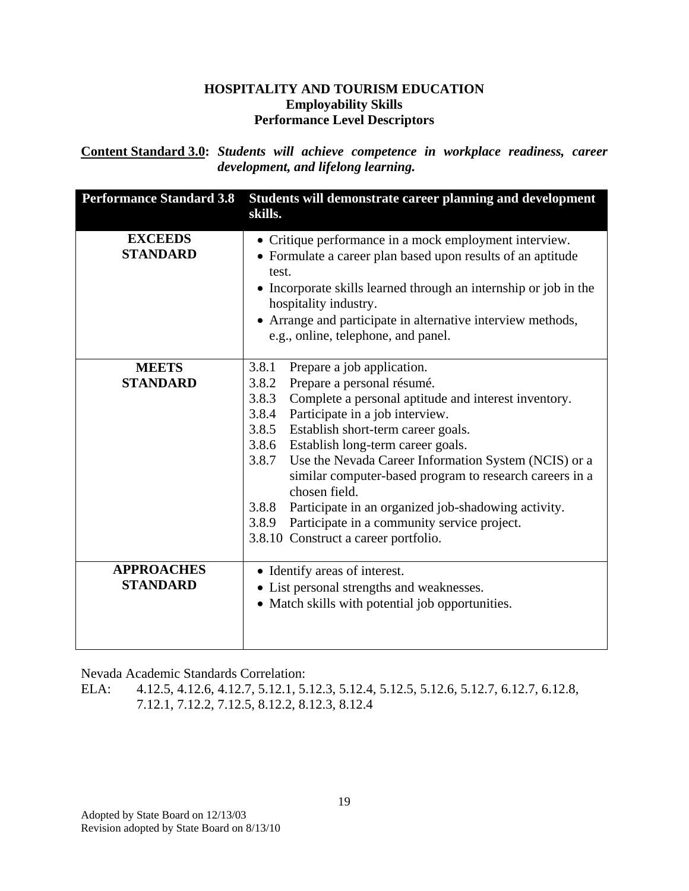**Content Standard 3.0:** *Students will achieve competence in workplace readiness, career development, and lifelong learning.*

| <b>Performance Standard 3.8</b>      | Students will demonstrate career planning and development<br>skills.                                                                                                                                                                                                                                                                                                                                                                                                                                                                                                                        |
|--------------------------------------|---------------------------------------------------------------------------------------------------------------------------------------------------------------------------------------------------------------------------------------------------------------------------------------------------------------------------------------------------------------------------------------------------------------------------------------------------------------------------------------------------------------------------------------------------------------------------------------------|
| <b>EXCEEDS</b><br><b>STANDARD</b>    | • Critique performance in a mock employment interview.<br>• Formulate a career plan based upon results of an aptitude<br>test.<br>• Incorporate skills learned through an internship or job in the<br>hospitality industry.<br>• Arrange and participate in alternative interview methods,<br>e.g., online, telephone, and panel.                                                                                                                                                                                                                                                           |
| <b>MEETS</b><br><b>STANDARD</b>      | 3.8.1<br>Prepare a job application.<br>Prepare a personal résumé.<br>3.8.2<br>Complete a personal aptitude and interest inventory.<br>3.8.3<br>3.8.4<br>Participate in a job interview.<br>3.8.5 Establish short-term career goals.<br>3.8.6 Establish long-term career goals.<br>3.8.7<br>Use the Nevada Career Information System (NCIS) or a<br>similar computer-based program to research careers in a<br>chosen field.<br>Participate in an organized job-shadowing activity.<br>3.8.8<br>Participate in a community service project.<br>3.8.9<br>3.8.10 Construct a career portfolio. |
| <b>APPROACHES</b><br><b>STANDARD</b> | • Identify areas of interest.<br>• List personal strengths and weaknesses.<br>• Match skills with potential job opportunities.                                                                                                                                                                                                                                                                                                                                                                                                                                                              |

Nevada Academic Standards Correlation:

ELA: 4.12.5, 4.12.6, 4.12.7, 5.12.1, 5.12.3, 5.12.4, 5.12.5, 5.12.6, 5.12.7, 6.12.7, 6.12.8, 7.12.1, 7.12.2, 7.12.5, 8.12.2, 8.12.3, 8.12.4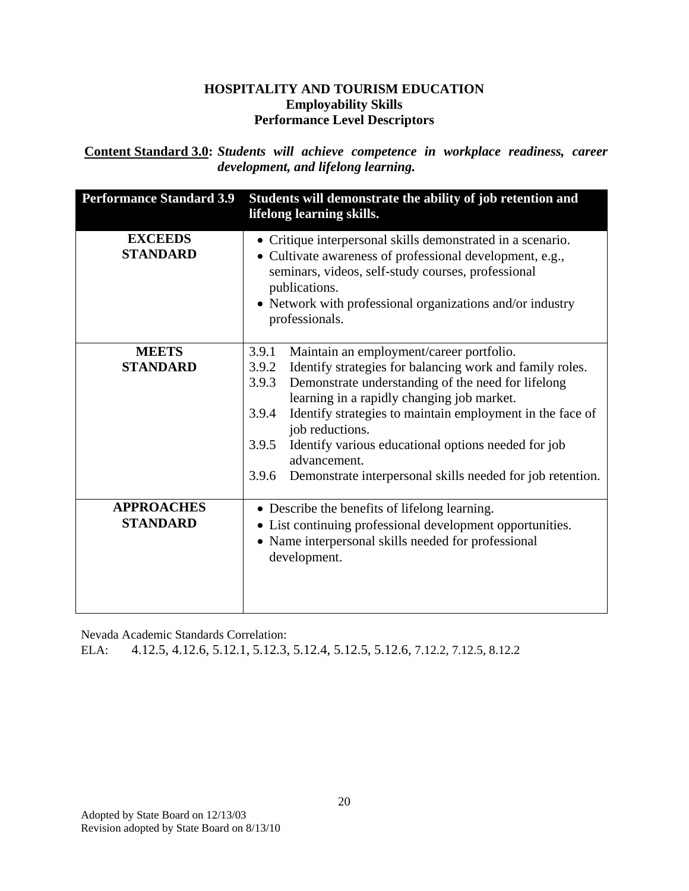**.Content Standard 3.0:** *Students will achieve competence in workplace readiness, career development, and lifelong learning.* 

| <b>Performance Standard 3.9</b>      | Students will demonstrate the ability of job retention and<br>lifelong learning skills.                                                                                                                                                                                                                                                                                                                                                                                             |
|--------------------------------------|-------------------------------------------------------------------------------------------------------------------------------------------------------------------------------------------------------------------------------------------------------------------------------------------------------------------------------------------------------------------------------------------------------------------------------------------------------------------------------------|
| <b>EXCEEDS</b><br><b>STANDARD</b>    | • Critique interpersonal skills demonstrated in a scenario.<br>• Cultivate awareness of professional development, e.g.,<br>seminars, videos, self-study courses, professional<br>publications.<br>• Network with professional organizations and/or industry<br>professionals.                                                                                                                                                                                                       |
| <b>MEETS</b><br><b>STANDARD</b>      | 3.9.1<br>Maintain an employment/career portfolio.<br>Identify strategies for balancing work and family roles.<br>3.9.2<br>Demonstrate understanding of the need for lifelong<br>3.9.3<br>learning in a rapidly changing job market.<br>Identify strategies to maintain employment in the face of<br>3.9.4<br>job reductions.<br>Identify various educational options needed for job<br>3.9.5<br>advancement.<br>3.9.6<br>Demonstrate interpersonal skills needed for job retention. |
| <b>APPROACHES</b><br><b>STANDARD</b> | • Describe the benefits of lifelong learning.<br>• List continuing professional development opportunities.<br>• Name interpersonal skills needed for professional<br>development.                                                                                                                                                                                                                                                                                                   |

Nevada Academic Standards Correlation:

ELA: 4.12.5, 4.12.6, 5.12.1, 5.12.3, 5.12.4, 5.12.5, 5.12.6, 7.12.2, 7.12.5, 8.12.2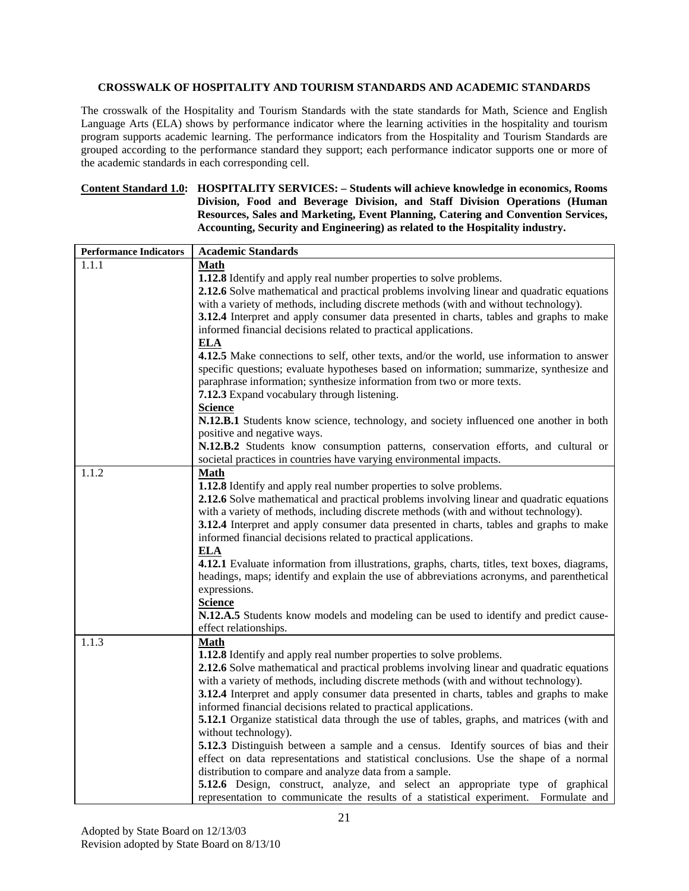#### **CROSSWALK OF HOSPITALITY AND TOURISM STANDARDS AND ACADEMIC STANDARDS**

The crosswalk of the Hospitality and Tourism Standards with the state standards for Math, Science and English Language Arts (ELA) shows by performance indicator where the learning activities in the hospitality and tourism program supports academic learning. The performance indicators from the Hospitality and Tourism Standards are grouped according to the performance standard they support; each performance indicator supports one or more of the academic standards in each corresponding cell.

#### **Content Standard 1.0: HOSPITALITY SERVICES: – Students will achieve knowledge in economics, Rooms Division, Food and Beverage Division, and Staff Division Operations (Human Resources, Sales and Marketing, Event Planning, Catering and Convention Services, Accounting, Security and Engineering) as related to the Hospitality industry.**

| <b>Performance Indicators</b> | <b>Academic Standards</b>                                                                     |
|-------------------------------|-----------------------------------------------------------------------------------------------|
| 1.1.1                         | <b>Math</b>                                                                                   |
|                               | 1.12.8 Identify and apply real number properties to solve problems.                           |
|                               | 2.12.6 Solve mathematical and practical problems involving linear and quadratic equations     |
|                               | with a variety of methods, including discrete methods (with and without technology).          |
|                               | 3.12.4 Interpret and apply consumer data presented in charts, tables and graphs to make       |
|                               | informed financial decisions related to practical applications.                               |
|                               | <b>ELA</b>                                                                                    |
|                               | 4.12.5 Make connections to self, other texts, and/or the world, use information to answer     |
|                               | specific questions; evaluate hypotheses based on information; summarize, synthesize and       |
|                               | paraphrase information; synthesize information from two or more texts.                        |
|                               | 7.12.3 Expand vocabulary through listening.                                                   |
|                               | <b>Science</b>                                                                                |
|                               | N.12.B.1 Students know science, technology, and society influenced one another in both        |
|                               | positive and negative ways.                                                                   |
|                               | N.12.B.2 Students know consumption patterns, conservation efforts, and cultural or            |
|                               | societal practices in countries have varying environmental impacts.                           |
| 1.1.2                         | <b>Math</b>                                                                                   |
|                               | 1.12.8 Identify and apply real number properties to solve problems.                           |
|                               | 2.12.6 Solve mathematical and practical problems involving linear and quadratic equations     |
|                               | with a variety of methods, including discrete methods (with and without technology).          |
|                               | 3.12.4 Interpret and apply consumer data presented in charts, tables and graphs to make       |
|                               | informed financial decisions related to practical applications.                               |
|                               | <b>ELA</b>                                                                                    |
|                               | 4.12.1 Evaluate information from illustrations, graphs, charts, titles, text boxes, diagrams, |
|                               | headings, maps; identify and explain the use of abbreviations acronyms, and parenthetical     |
|                               | expressions.                                                                                  |
|                               | <b>Science</b>                                                                                |
|                               | N.12.A.5 Students know models and modeling can be used to identify and predict cause-         |
|                               | effect relationships.                                                                         |
| 1.1.3                         | Math                                                                                          |
|                               | 1.12.8 Identify and apply real number properties to solve problems.                           |
|                               | 2.12.6 Solve mathematical and practical problems involving linear and quadratic equations     |
|                               | with a variety of methods, including discrete methods (with and without technology).          |
|                               | 3.12.4 Interpret and apply consumer data presented in charts, tables and graphs to make       |
|                               | informed financial decisions related to practical applications.                               |
|                               | 5.12.1 Organize statistical data through the use of tables, graphs, and matrices (with and    |
|                               | without technology).                                                                          |
|                               | 5.12.3 Distinguish between a sample and a census. Identify sources of bias and their          |
|                               | effect on data representations and statistical conclusions. Use the shape of a normal         |
|                               | distribution to compare and analyze data from a sample.                                       |
|                               | 5.12.6 Design, construct, analyze, and select an appropriate type of graphical                |
|                               | representation to communicate the results of a statistical experiment. Formulate and          |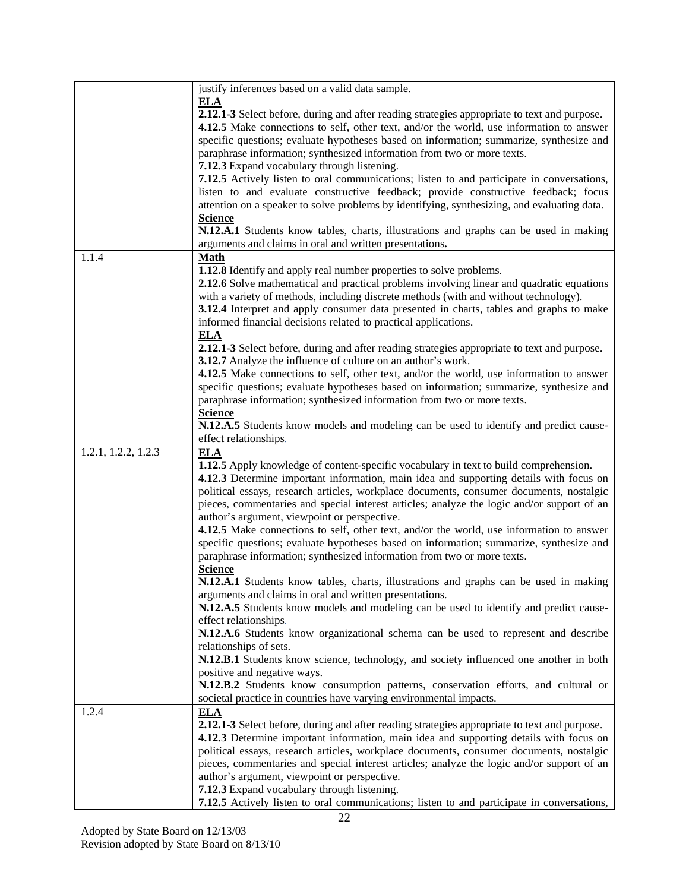|                     | justify inferences based on a valid data sample.                                                                                                                                                                                                                                                                                                                                                                                                                                                                                                                                                                                                                 |
|---------------------|------------------------------------------------------------------------------------------------------------------------------------------------------------------------------------------------------------------------------------------------------------------------------------------------------------------------------------------------------------------------------------------------------------------------------------------------------------------------------------------------------------------------------------------------------------------------------------------------------------------------------------------------------------------|
|                     | ELA<br>2.12.1-3 Select before, during and after reading strategies appropriate to text and purpose.<br>4.12.5 Make connections to self, other text, and/or the world, use information to answer<br>specific questions; evaluate hypotheses based on information; summarize, synthesize and<br>paraphrase information; synthesized information from two or more texts.<br>7.12.3 Expand vocabulary through listening.                                                                                                                                                                                                                                             |
|                     | <b>7.12.5</b> Actively listen to oral communications; listen to and participate in conversations,<br>listen to and evaluate constructive feedback; provide constructive feedback; focus<br>attention on a speaker to solve problems by identifying, synthesizing, and evaluating data.<br><b>Science</b>                                                                                                                                                                                                                                                                                                                                                         |
|                     | N.12.A.1 Students know tables, charts, illustrations and graphs can be used in making<br>arguments and claims in oral and written presentations.                                                                                                                                                                                                                                                                                                                                                                                                                                                                                                                 |
| 1.1.4               | Math                                                                                                                                                                                                                                                                                                                                                                                                                                                                                                                                                                                                                                                             |
|                     | 1.12.8 Identify and apply real number properties to solve problems.<br>2.12.6 Solve mathematical and practical problems involving linear and quadratic equations<br>with a variety of methods, including discrete methods (with and without technology).<br>3.12.4 Interpret and apply consumer data presented in charts, tables and graphs to make<br>informed financial decisions related to practical applications.<br><b>ELA</b>                                                                                                                                                                                                                             |
|                     | 2.12.1-3 Select before, during and after reading strategies appropriate to text and purpose.<br>3.12.7 Analyze the influence of culture on an author's work.<br>4.12.5 Make connections to self, other text, and/or the world, use information to answer                                                                                                                                                                                                                                                                                                                                                                                                         |
|                     | specific questions; evaluate hypotheses based on information; summarize, synthesize and<br>paraphrase information; synthesized information from two or more texts.                                                                                                                                                                                                                                                                                                                                                                                                                                                                                               |
|                     | <b>Science</b><br>N.12.A.5 Students know models and modeling can be used to identify and predict cause-<br>effect relationships.                                                                                                                                                                                                                                                                                                                                                                                                                                                                                                                                 |
| 1.2.1, 1.2.2, 1.2.3 | ELA<br>1.12.5 Apply knowledge of content-specific vocabulary in text to build comprehension.<br>4.12.3 Determine important information, main idea and supporting details with focus on<br>political essays, research articles, workplace documents, consumer documents, nostalgic                                                                                                                                                                                                                                                                                                                                                                                |
|                     | pieces, commentaries and special interest articles; analyze the logic and/or support of an<br>author's argument, viewpoint or perspective.<br>4.12.5 Make connections to self, other text, and/or the world, use information to answer<br>specific questions; evaluate hypotheses based on information; summarize, synthesize and<br>paraphrase information; synthesized information from two or more texts.                                                                                                                                                                                                                                                     |
|                     | <b>Science</b><br>N.12.A.1 Students know tables, charts, illustrations and graphs can be used in making<br>arguments and claims in oral and written presentations.                                                                                                                                                                                                                                                                                                                                                                                                                                                                                               |
|                     | N.12.A.5 Students know models and modeling can be used to identify and predict cause-<br>effect relationships.<br>N.12.A.6 Students know organizational schema can be used to represent and describe                                                                                                                                                                                                                                                                                                                                                                                                                                                             |
|                     | relationships of sets.<br>N.12.B.1 Students know science, technology, and society influenced one another in both<br>positive and negative ways.<br>N.12.B.2 Students know consumption patterns, conservation efforts, and cultural or                                                                                                                                                                                                                                                                                                                                                                                                                            |
| 1.2.4               | societal practice in countries have varying environmental impacts.<br><b>ELA</b><br>2.12.1-3 Select before, during and after reading strategies appropriate to text and purpose.<br>4.12.3 Determine important information, main idea and supporting details with focus on<br>political essays, research articles, workplace documents, consumer documents, nostalgic<br>pieces, commentaries and special interest articles; analyze the logic and/or support of an<br>author's argument, viewpoint or perspective.<br>7.12.3 Expand vocabulary through listening.<br>7.12.5 Actively listen to oral communications; listen to and participate in conversations, |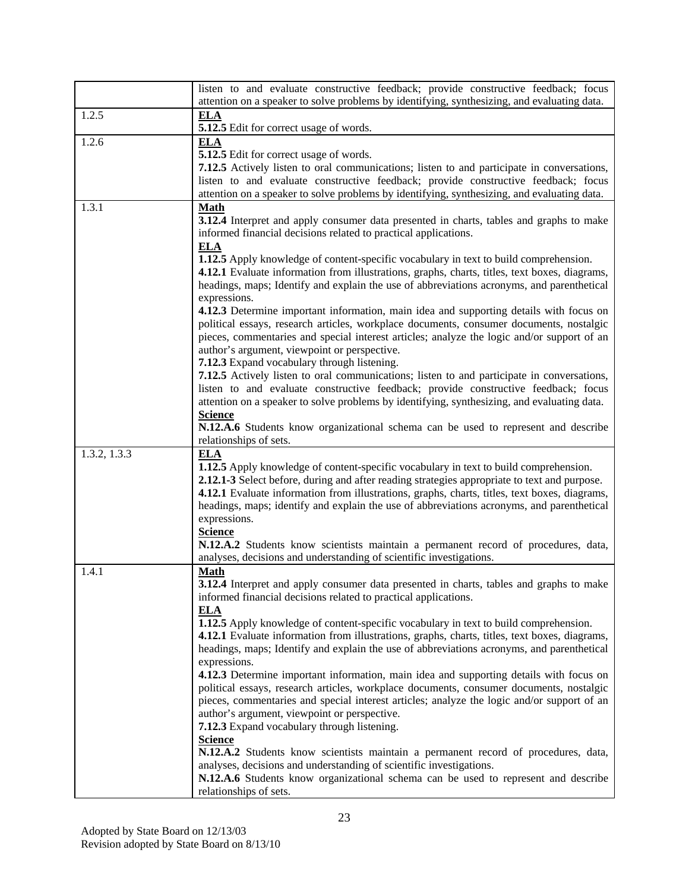|              | listen to and evaluate constructive feedback; provide constructive feedback; focus                                                                                                |
|--------------|-----------------------------------------------------------------------------------------------------------------------------------------------------------------------------------|
|              | attention on a speaker to solve problems by identifying, synthesizing, and evaluating data.                                                                                       |
| 1.2.5        | <b>ELA</b>                                                                                                                                                                        |
|              | 5.12.5 Edit for correct usage of words.                                                                                                                                           |
| 1.2.6        | <b>ELA</b>                                                                                                                                                                        |
|              | 5.12.5 Edit for correct usage of words.                                                                                                                                           |
|              | 7.12.5 Actively listen to oral communications; listen to and participate in conversations,                                                                                        |
|              | listen to and evaluate constructive feedback; provide constructive feedback; focus<br>attention on a speaker to solve problems by identifying, synthesizing, and evaluating data. |
| 1.3.1        | <b>Math</b>                                                                                                                                                                       |
|              | 3.12.4 Interpret and apply consumer data presented in charts, tables and graphs to make                                                                                           |
|              | informed financial decisions related to practical applications.                                                                                                                   |
|              | <b>ELA</b>                                                                                                                                                                        |
|              | 1.12.5 Apply knowledge of content-specific vocabulary in text to build comprehension.                                                                                             |
|              | 4.12.1 Evaluate information from illustrations, graphs, charts, titles, text boxes, diagrams,                                                                                     |
|              | headings, maps; Identify and explain the use of abbreviations acronyms, and parenthetical                                                                                         |
|              | expressions.                                                                                                                                                                      |
|              | 4.12.3 Determine important information, main idea and supporting details with focus on                                                                                            |
|              | political essays, research articles, workplace documents, consumer documents, nostalgic                                                                                           |
|              | pieces, commentaries and special interest articles; analyze the logic and/or support of an                                                                                        |
|              | author's argument, viewpoint or perspective.                                                                                                                                      |
|              | 7.12.3 Expand vocabulary through listening.                                                                                                                                       |
|              | 7.12.5 Actively listen to oral communications; listen to and participate in conversations,                                                                                        |
|              | listen to and evaluate constructive feedback; provide constructive feedback; focus<br>attention on a speaker to solve problems by identifying, synthesizing, and evaluating data. |
|              | <b>Science</b>                                                                                                                                                                    |
|              | N.12.A.6 Students know organizational schema can be used to represent and describe                                                                                                |
|              | relationships of sets.                                                                                                                                                            |
| 1.3.2, 1.3.3 | <b>ELA</b>                                                                                                                                                                        |
|              | 1.12.5 Apply knowledge of content-specific vocabulary in text to build comprehension.                                                                                             |
|              | 2.12.1-3 Select before, during and after reading strategies appropriate to text and purpose.                                                                                      |
|              | 4.12.1 Evaluate information from illustrations, graphs, charts, titles, text boxes, diagrams,                                                                                     |
|              | headings, maps; identify and explain the use of abbreviations acronyms, and parenthetical                                                                                         |
|              | expressions.                                                                                                                                                                      |
|              | <b>Science</b>                                                                                                                                                                    |
|              | N.12.A.2 Students know scientists maintain a permanent record of procedures, data,                                                                                                |
|              | analyses, decisions and understanding of scientific investigations.                                                                                                               |
| 1.4.1        | <b>Math</b>                                                                                                                                                                       |
|              | 3.12.4 Interpret and apply consumer data presented in charts, tables and graphs to make<br>informed financial decisions related to practical applications.                        |
|              | <b>ELA</b>                                                                                                                                                                        |
|              | 1.12.5 Apply knowledge of content-specific vocabulary in text to build comprehension.                                                                                             |
|              | 4.12.1 Evaluate information from illustrations, graphs, charts, titles, text boxes, diagrams,                                                                                     |
|              | headings, maps; Identify and explain the use of abbreviations acronyms, and parenthetical                                                                                         |
|              | expressions.                                                                                                                                                                      |
|              | 4.12.3 Determine important information, main idea and supporting details with focus on                                                                                            |
|              | political essays, research articles, workplace documents, consumer documents, nostalgic                                                                                           |
|              | pieces, commentaries and special interest articles; analyze the logic and/or support of an                                                                                        |
|              | author's argument, viewpoint or perspective.                                                                                                                                      |
|              | 7.12.3 Expand vocabulary through listening.                                                                                                                                       |
|              | <b>Science</b><br>N.12.A.2 Students know scientists maintain a permanent record of procedures, data,                                                                              |
|              | analyses, decisions and understanding of scientific investigations.                                                                                                               |
|              | N.12.A.6 Students know organizational schema can be used to represent and describe                                                                                                |
|              | relationships of sets.                                                                                                                                                            |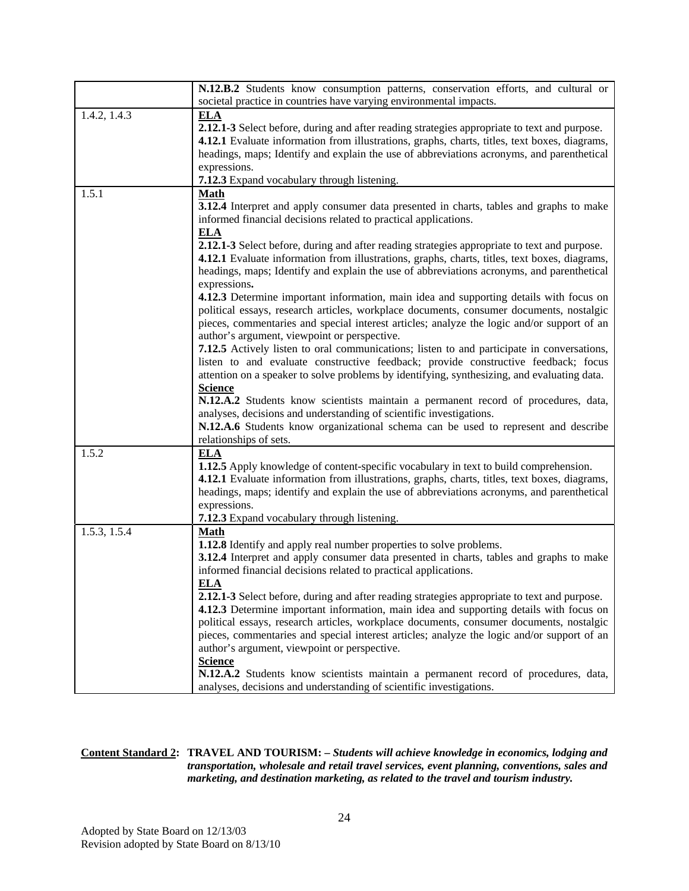|              | N.12.B.2 Students know consumption patterns, conservation efforts, and cultural or                                                                                                                                                                                                                                                                                                                                                                                                                                                                                                                                                                                                                                                                                                                                                                                                                                                                                                                                                                                                                                                            |
|--------------|-----------------------------------------------------------------------------------------------------------------------------------------------------------------------------------------------------------------------------------------------------------------------------------------------------------------------------------------------------------------------------------------------------------------------------------------------------------------------------------------------------------------------------------------------------------------------------------------------------------------------------------------------------------------------------------------------------------------------------------------------------------------------------------------------------------------------------------------------------------------------------------------------------------------------------------------------------------------------------------------------------------------------------------------------------------------------------------------------------------------------------------------------|
|              | societal practice in countries have varying environmental impacts.                                                                                                                                                                                                                                                                                                                                                                                                                                                                                                                                                                                                                                                                                                                                                                                                                                                                                                                                                                                                                                                                            |
| 1.4.2, 1.4.3 | <b>ELA</b><br>2.12.1-3 Select before, during and after reading strategies appropriate to text and purpose.<br>4.12.1 Evaluate information from illustrations, graphs, charts, titles, text boxes, diagrams,<br>headings, maps; Identify and explain the use of abbreviations acronyms, and parenthetical<br>expressions.<br>7.12.3 Expand vocabulary through listening.                                                                                                                                                                                                                                                                                                                                                                                                                                                                                                                                                                                                                                                                                                                                                                       |
| 1.5.1        | <b>Math</b><br>3.12.4 Interpret and apply consumer data presented in charts, tables and graphs to make<br>informed financial decisions related to practical applications.<br><b>ELA</b><br>2.12.1-3 Select before, during and after reading strategies appropriate to text and purpose.<br>4.12.1 Evaluate information from illustrations, graphs, charts, titles, text boxes, diagrams,<br>headings, maps; Identify and explain the use of abbreviations acronyms, and parenthetical<br>expressions.<br>4.12.3 Determine important information, main idea and supporting details with focus on<br>political essays, research articles, workplace documents, consumer documents, nostalgic<br>pieces, commentaries and special interest articles; analyze the logic and/or support of an<br>author's argument, viewpoint or perspective.<br>7.12.5 Actively listen to oral communications; listen to and participate in conversations,<br>listen to and evaluate constructive feedback; provide constructive feedback; focus<br>attention on a speaker to solve problems by identifying, synthesizing, and evaluating data.<br><b>Science</b> |
|              | N.12.A.2 Students know scientists maintain a permanent record of procedures, data,<br>analyses, decisions and understanding of scientific investigations.<br>N.12.A.6 Students know organizational schema can be used to represent and describe<br>relationships of sets.                                                                                                                                                                                                                                                                                                                                                                                                                                                                                                                                                                                                                                                                                                                                                                                                                                                                     |
| 1.5.2        | <b>ELA</b><br>1.12.5 Apply knowledge of content-specific vocabulary in text to build comprehension.<br>4.12.1 Evaluate information from illustrations, graphs, charts, titles, text boxes, diagrams,<br>headings, maps; identify and explain the use of abbreviations acronyms, and parenthetical<br>expressions.<br>7.12.3 Expand vocabulary through listening.                                                                                                                                                                                                                                                                                                                                                                                                                                                                                                                                                                                                                                                                                                                                                                              |
| 1.5.3, 1.5.4 | Math<br>1.12.8 Identify and apply real number properties to solve problems.<br>3.12.4 Interpret and apply consumer data presented in charts, tables and graphs to make<br>informed financial decisions related to practical applications.<br><b>ELA</b><br>2.12.1-3 Select before, during and after reading strategies appropriate to text and purpose.<br>4.12.3 Determine important information, main idea and supporting details with focus on<br>political essays, research articles, workplace documents, consumer documents, nostalgic<br>pieces, commentaries and special interest articles; analyze the logic and/or support of an<br>author's argument, viewpoint or perspective.<br><b>Science</b><br>N.12.A.2 Students know scientists maintain a permanent record of procedures, data,<br>analyses, decisions and understanding of scientific investigations.                                                                                                                                                                                                                                                                     |

#### **Content Standard 2: TRAVEL AND TOURISM: –** *Students will achieve knowledge in economics, lodging and transportation, wholesale and retail travel services, event planning, conventions, sales and marketing, and destination marketing, as related to the travel and tourism industry.*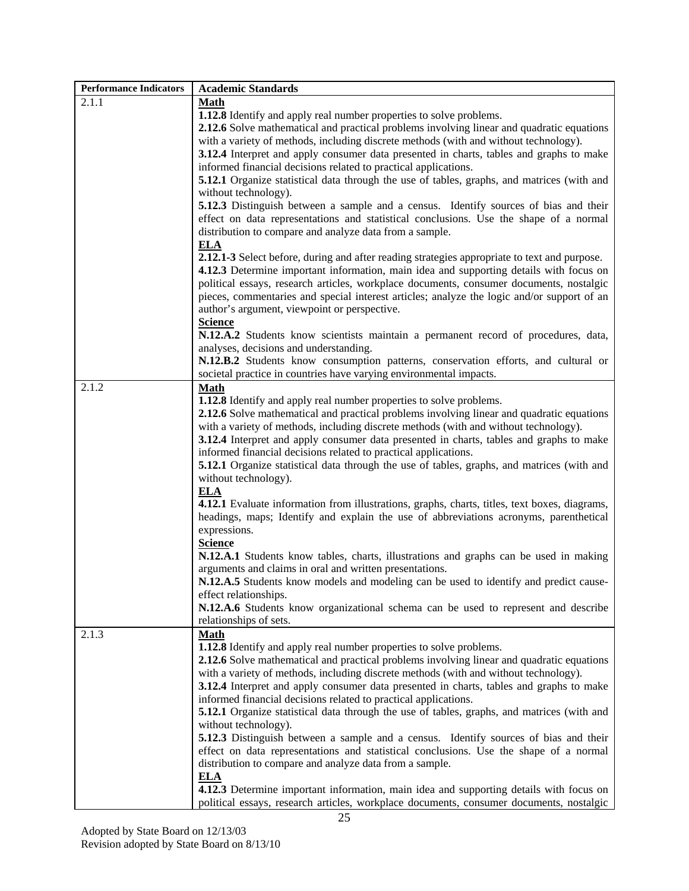| <b>Performance Indicators</b> | <b>Academic Standards</b>                                                                         |
|-------------------------------|---------------------------------------------------------------------------------------------------|
| 2.1.1                         | <b>Math</b>                                                                                       |
|                               | 1.12.8 Identify and apply real number properties to solve problems.                               |
|                               | 2.12.6 Solve mathematical and practical problems involving linear and quadratic equations         |
|                               | with a variety of methods, including discrete methods (with and without technology).              |
|                               | <b>3.12.4</b> Interpret and apply consumer data presented in charts, tables and graphs to make    |
|                               | informed financial decisions related to practical applications.                                   |
|                               | <b>5.12.1</b> Organize statistical data through the use of tables, graphs, and matrices (with and |
|                               | without technology).                                                                              |
|                               | 5.12.3 Distinguish between a sample and a census. Identify sources of bias and their              |
|                               | effect on data representations and statistical conclusions. Use the shape of a normal             |
|                               | distribution to compare and analyze data from a sample.                                           |
|                               |                                                                                                   |
|                               | <b>ELA</b>                                                                                        |
|                               | 2.12.1-3 Select before, during and after reading strategies appropriate to text and purpose.      |
|                               | 4.12.3 Determine important information, main idea and supporting details with focus on            |
|                               | political essays, research articles, workplace documents, consumer documents, nostalgic           |
|                               | pieces, commentaries and special interest articles; analyze the logic and/or support of an        |
|                               | author's argument, viewpoint or perspective.                                                      |
|                               | <b>Science</b>                                                                                    |
|                               | N.12.A.2 Students know scientists maintain a permanent record of procedures, data,                |
|                               | analyses, decisions and understanding.                                                            |
|                               | N.12.B.2 Students know consumption patterns, conservation efforts, and cultural or                |
|                               | societal practice in countries have varying environmental impacts.                                |
| 2.1.2                         | Math                                                                                              |
|                               | 1.12.8 Identify and apply real number properties to solve problems.                               |
|                               | 2.12.6 Solve mathematical and practical problems involving linear and quadratic equations         |
|                               | with a variety of methods, including discrete methods (with and without technology).              |
|                               | 3.12.4 Interpret and apply consumer data presented in charts, tables and graphs to make           |
|                               | informed financial decisions related to practical applications.                                   |
|                               | <b>5.12.1</b> Organize statistical data through the use of tables, graphs, and matrices (with and |
|                               | without technology).                                                                              |
|                               | <b>ELA</b>                                                                                        |
|                               | 4.12.1 Evaluate information from illustrations, graphs, charts, titles, text boxes, diagrams,     |
|                               | headings, maps; Identify and explain the use of abbreviations acronyms, parenthetical             |
|                               | expressions.                                                                                      |
|                               | <b>Science</b>                                                                                    |
|                               | N.12.A.1 Students know tables, charts, illustrations and graphs can be used in making             |
|                               | arguments and claims in oral and written presentations.                                           |
|                               | N.12.A.5 Students know models and modeling can be used to identify and predict cause-             |
|                               | effect relationships.                                                                             |
|                               | N.12.A.6 Students know organizational schema can be used to represent and describe                |
|                               | relationships of sets.                                                                            |
| 2.1.3                         | <b>Math</b>                                                                                       |
|                               | 1.12.8 Identify and apply real number properties to solve problems.                               |
|                               | 2.12.6 Solve mathematical and practical problems involving linear and quadratic equations         |
|                               | with a variety of methods, including discrete methods (with and without technology).              |
|                               | 3.12.4 Interpret and apply consumer data presented in charts, tables and graphs to make           |
|                               | informed financial decisions related to practical applications.                                   |
|                               |                                                                                                   |
|                               | <b>5.12.1</b> Organize statistical data through the use of tables, graphs, and matrices (with and |
|                               | without technology).                                                                              |
|                               | <b>5.12.3</b> Distinguish between a sample and a census. Identify sources of bias and their       |
|                               | effect on data representations and statistical conclusions. Use the shape of a normal             |
|                               | distribution to compare and analyze data from a sample.                                           |
|                               | <b>ELA</b>                                                                                        |
|                               | 4.12.3 Determine important information, main idea and supporting details with focus on            |
|                               | political essays, research articles, workplace documents, consumer documents, nostalgic           |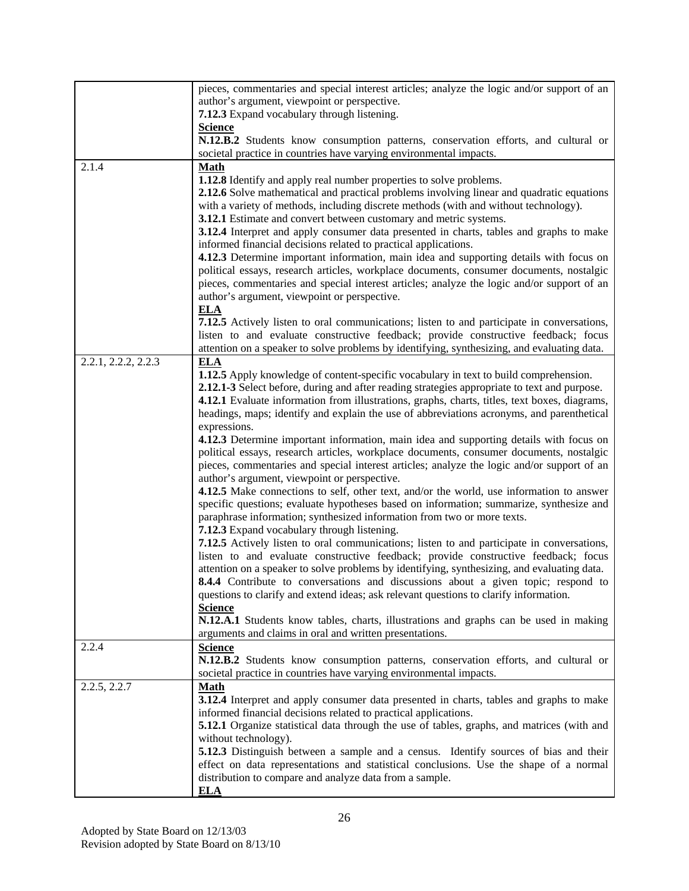|                     | pieces, commentaries and special interest articles; analyze the logic and/or support of an        |
|---------------------|---------------------------------------------------------------------------------------------------|
|                     | author's argument, viewpoint or perspective.                                                      |
|                     | 7.12.3 Expand vocabulary through listening.                                                       |
|                     | <b>Science</b>                                                                                    |
|                     | N.12.B.2 Students know consumption patterns, conservation efforts, and cultural or                |
|                     | societal practice in countries have varying environmental impacts.                                |
| 2.1.4               | <b>Math</b>                                                                                       |
|                     | 1.12.8 Identify and apply real number properties to solve problems.                               |
|                     | 2.12.6 Solve mathematical and practical problems involving linear and quadratic equations         |
|                     | with a variety of methods, including discrete methods (with and without technology).              |
|                     | 3.12.1 Estimate and convert between customary and metric systems.                                 |
|                     | 3.12.4 Interpret and apply consumer data presented in charts, tables and graphs to make           |
|                     | informed financial decisions related to practical applications.                                   |
|                     | 4.12.3 Determine important information, main idea and supporting details with focus on            |
|                     | political essays, research articles, workplace documents, consumer documents, nostalgic           |
|                     | pieces, commentaries and special interest articles; analyze the logic and/or support of an        |
|                     | author's argument, viewpoint or perspective.                                                      |
|                     | <b>ELA</b>                                                                                        |
|                     | 7.12.5 Actively listen to oral communications; listen to and participate in conversations,        |
|                     | listen to and evaluate constructive feedback; provide constructive feedback; focus                |
|                     | attention on a speaker to solve problems by identifying, synthesizing, and evaluating data.       |
| 2.2.1, 2.2.2, 2.2.3 |                                                                                                   |
|                     | <b>ELA</b>                                                                                        |
|                     | 1.12.5 Apply knowledge of content-specific vocabulary in text to build comprehension.             |
|                     | 2.12.1-3 Select before, during and after reading strategies appropriate to text and purpose.      |
|                     | 4.12.1 Evaluate information from illustrations, graphs, charts, titles, text boxes, diagrams,     |
|                     | headings, maps; identify and explain the use of abbreviations acronyms, and parenthetical         |
|                     | expressions.                                                                                      |
|                     | 4.12.3 Determine important information, main idea and supporting details with focus on            |
|                     | political essays, research articles, workplace documents, consumer documents, nostalgic           |
|                     | pieces, commentaries and special interest articles; analyze the logic and/or support of an        |
|                     | author's argument, viewpoint or perspective.                                                      |
|                     | 4.12.5 Make connections to self, other text, and/or the world, use information to answer          |
|                     | specific questions; evaluate hypotheses based on information; summarize, synthesize and           |
|                     | paraphrase information; synthesized information from two or more texts.                           |
|                     | 7.12.3 Expand vocabulary through listening.                                                       |
|                     | 7.12.5 Actively listen to oral communications; listen to and participate in conversations,        |
|                     | listen to and evaluate constructive feedback; provide constructive feedback; focus                |
|                     | attention on a speaker to solve problems by identifying, synthesizing, and evaluating data.       |
|                     | <b>8.4.4</b> Contribute to conversations and discussions about a given topic; respond to          |
|                     | questions to clarify and extend ideas; ask relevant questions to clarify information.             |
|                     | <b>Science</b>                                                                                    |
|                     | N.12.A.1 Students know tables, charts, illustrations and graphs can be used in making             |
|                     | arguments and claims in oral and written presentations.                                           |
| 2.2.4               | <b>Science</b>                                                                                    |
|                     | N.12.B.2 Students know consumption patterns, conservation efforts, and cultural or                |
|                     | societal practice in countries have varying environmental impacts.                                |
| 2.2.5, 2.2.7        | <b>Math</b>                                                                                       |
|                     | 3.12.4 Interpret and apply consumer data presented in charts, tables and graphs to make           |
|                     | informed financial decisions related to practical applications.                                   |
|                     | <b>5.12.1</b> Organize statistical data through the use of tables, graphs, and matrices (with and |
|                     | without technology).                                                                              |
|                     | 5.12.3 Distinguish between a sample and a census. Identify sources of bias and their              |
|                     | effect on data representations and statistical conclusions. Use the shape of a normal             |
|                     | distribution to compare and analyze data from a sample.                                           |
|                     | <b>ELA</b>                                                                                        |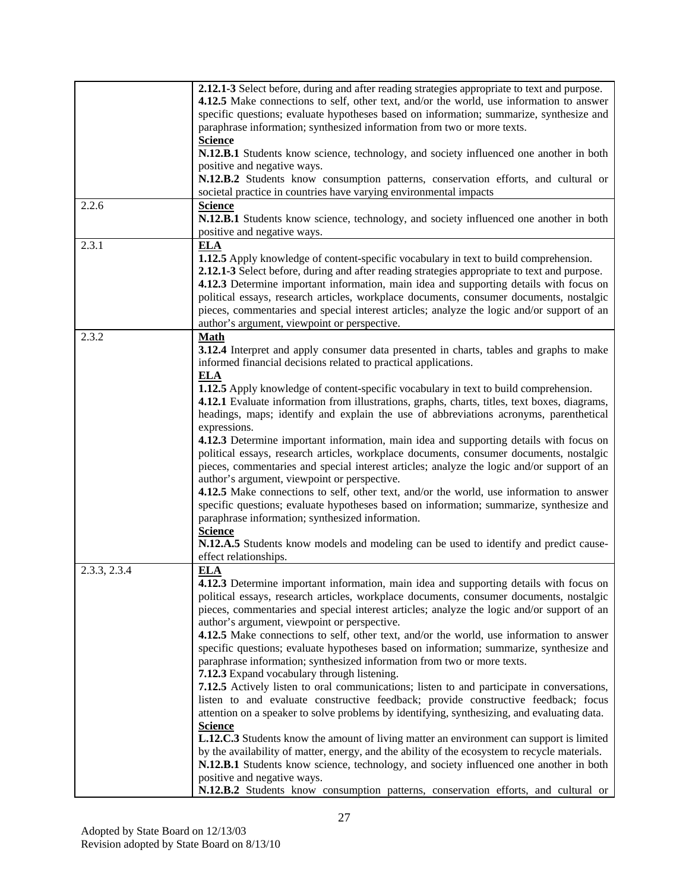|              | 2.12.1-3 Select before, during and after reading strategies appropriate to text and purpose.<br>4.12.5 Make connections to self, other text, and/or the world, use information to answer<br>specific questions; evaluate hypotheses based on information; summarize, synthesize and<br>paraphrase information; synthesized information from two or more texts.<br><b>Science</b><br>N.12.B.1 Students know science, technology, and society influenced one another in both<br>positive and negative ways.                                                                                                                                                                                                                                                                                                                                                                                                                                                                                                                                                                                                                                                                                                                                                         |
|--------------|-------------------------------------------------------------------------------------------------------------------------------------------------------------------------------------------------------------------------------------------------------------------------------------------------------------------------------------------------------------------------------------------------------------------------------------------------------------------------------------------------------------------------------------------------------------------------------------------------------------------------------------------------------------------------------------------------------------------------------------------------------------------------------------------------------------------------------------------------------------------------------------------------------------------------------------------------------------------------------------------------------------------------------------------------------------------------------------------------------------------------------------------------------------------------------------------------------------------------------------------------------------------|
|              | N.12.B.2 Students know consumption patterns, conservation efforts, and cultural or<br>societal practice in countries have varying environmental impacts                                                                                                                                                                                                                                                                                                                                                                                                                                                                                                                                                                                                                                                                                                                                                                                                                                                                                                                                                                                                                                                                                                           |
| 2.2.6        | <b>Science</b><br>N.12.B.1 Students know science, technology, and society influenced one another in both<br>positive and negative ways.                                                                                                                                                                                                                                                                                                                                                                                                                                                                                                                                                                                                                                                                                                                                                                                                                                                                                                                                                                                                                                                                                                                           |
| 2.3.1        | <b>ELA</b><br>1.12.5 Apply knowledge of content-specific vocabulary in text to build comprehension.<br>2.12.1-3 Select before, during and after reading strategies appropriate to text and purpose.<br>4.12.3 Determine important information, main idea and supporting details with focus on<br>political essays, research articles, workplace documents, consumer documents, nostalgic<br>pieces, commentaries and special interest articles; analyze the logic and/or support of an<br>author's argument, viewpoint or perspective.                                                                                                                                                                                                                                                                                                                                                                                                                                                                                                                                                                                                                                                                                                                            |
| 2.3.2        | <b>Math</b><br>3.12.4 Interpret and apply consumer data presented in charts, tables and graphs to make<br>informed financial decisions related to practical applications.                                                                                                                                                                                                                                                                                                                                                                                                                                                                                                                                                                                                                                                                                                                                                                                                                                                                                                                                                                                                                                                                                         |
|              | <b>ELA</b><br><b>1.12.5</b> Apply knowledge of content-specific vocabulary in text to build comprehension.<br>4.12.1 Evaluate information from illustrations, graphs, charts, titles, text boxes, diagrams,<br>headings, maps; identify and explain the use of abbreviations acronyms, parenthetical<br>expressions.<br>4.12.3 Determine important information, main idea and supporting details with focus on<br>political essays, research articles, workplace documents, consumer documents, nostalgic<br>pieces, commentaries and special interest articles; analyze the logic and/or support of an<br>author's argument, viewpoint or perspective.<br>4.12.5 Make connections to self, other text, and/or the world, use information to answer<br>specific questions; evaluate hypotheses based on information; summarize, synthesize and<br>paraphrase information; synthesized information.<br><b>Science</b><br>N.12.A.5 Students know models and modeling can be used to identify and predict cause-<br>effect relationships.                                                                                                                                                                                                                            |
| 2.3.3, 2.3.4 | <b>ELA</b><br>4.12.3 Determine important information, main idea and supporting details with focus on<br>political essays, research articles, workplace documents, consumer documents, nostalgic<br>pieces, commentaries and special interest articles; analyze the logic and/or support of an<br>author's argument, viewpoint or perspective.<br>4.12.5 Make connections to self, other text, and/or the world, use information to answer<br>specific questions; evaluate hypotheses based on information; summarize, synthesize and<br>paraphrase information; synthesized information from two or more texts.<br>7.12.3 Expand vocabulary through listening.<br>7.12.5 Actively listen to oral communications; listen to and participate in conversations,<br>listen to and evaluate constructive feedback; provide constructive feedback; focus<br>attention on a speaker to solve problems by identifying, synthesizing, and evaluating data.<br><b>Science</b><br><b>L.12.C.3</b> Students know the amount of living matter an environment can support is limited<br>by the availability of matter, energy, and the ability of the ecosystem to recycle materials.<br>N.12.B.1 Students know science, technology, and society influenced one another in both |
|              | positive and negative ways.<br>N.12.B.2 Students know consumption patterns, conservation efforts, and cultural or                                                                                                                                                                                                                                                                                                                                                                                                                                                                                                                                                                                                                                                                                                                                                                                                                                                                                                                                                                                                                                                                                                                                                 |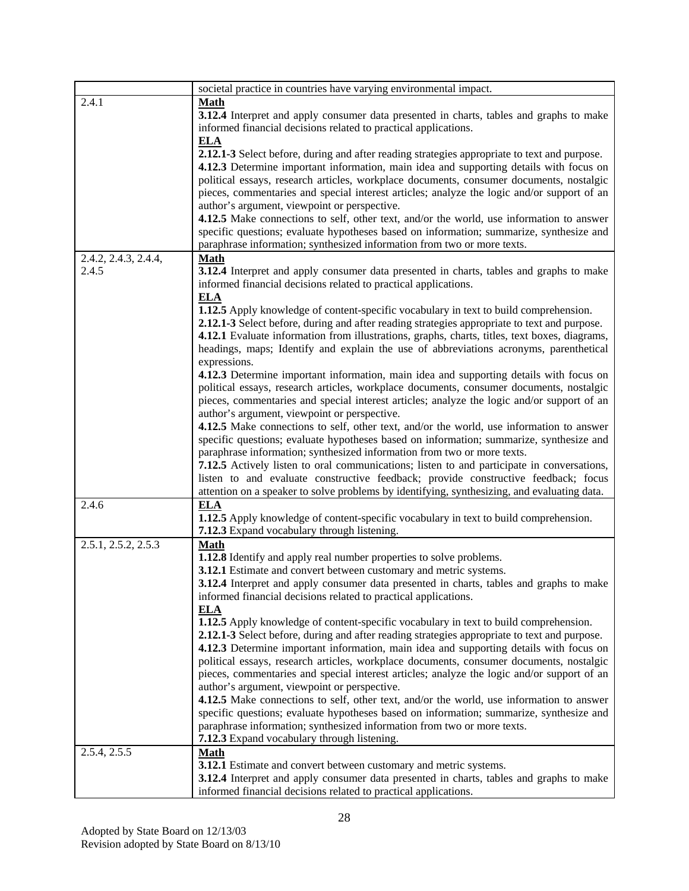|                           | societal practice in countries have varying environmental impact.                              |
|---------------------------|------------------------------------------------------------------------------------------------|
| 2.4.1                     | <b>Math</b>                                                                                    |
|                           | <b>3.12.4</b> Interpret and apply consumer data presented in charts, tables and graphs to make |
|                           | informed financial decisions related to practical applications.                                |
|                           | <b>ELA</b>                                                                                     |
|                           | 2.12.1-3 Select before, during and after reading strategies appropriate to text and purpose.   |
|                           | 4.12.3 Determine important information, main idea and supporting details with focus on         |
|                           | political essays, research articles, workplace documents, consumer documents, nostalgic        |
|                           | pieces, commentaries and special interest articles; analyze the logic and/or support of an     |
|                           |                                                                                                |
|                           | author's argument, viewpoint or perspective.                                                   |
|                           | 4.12.5 Make connections to self, other text, and/or the world, use information to answer       |
|                           | specific questions; evaluate hypotheses based on information; summarize, synthesize and        |
|                           | paraphrase information; synthesized information from two or more texts.                        |
| 2.4.2, 2.4.3, 2.4.4,      | <b>Math</b>                                                                                    |
| 2.4.5                     | <b>3.12.4</b> Interpret and apply consumer data presented in charts, tables and graphs to make |
|                           | informed financial decisions related to practical applications.                                |
|                           | <b>ELA</b>                                                                                     |
|                           | 1.12.5 Apply knowledge of content-specific vocabulary in text to build comprehension.          |
|                           | 2.12.1-3 Select before, during and after reading strategies appropriate to text and purpose.   |
|                           | 4.12.1 Evaluate information from illustrations, graphs, charts, titles, text boxes, diagrams,  |
|                           | headings, maps; Identify and explain the use of abbreviations acronyms, parenthetical          |
|                           | expressions.                                                                                   |
|                           | 4.12.3 Determine important information, main idea and supporting details with focus on         |
|                           | political essays, research articles, workplace documents, consumer documents, nostalgic        |
|                           |                                                                                                |
|                           | pieces, commentaries and special interest articles; analyze the logic and/or support of an     |
|                           | author's argument, viewpoint or perspective.                                                   |
|                           | 4.12.5 Make connections to self, other text, and/or the world, use information to answer       |
|                           | specific questions; evaluate hypotheses based on information; summarize, synthesize and        |
|                           | paraphrase information; synthesized information from two or more texts.                        |
|                           | 7.12.5 Actively listen to oral communications; listen to and participate in conversations,     |
|                           | listen to and evaluate constructive feedback; provide constructive feedback; focus             |
|                           | attention on a speaker to solve problems by identifying, synthesizing, and evaluating data.    |
| 2.4.6                     | <b>ELA</b>                                                                                     |
|                           | 1.12.5 Apply knowledge of content-specific vocabulary in text to build comprehension.          |
|                           | 7.12.3 Expand vocabulary through listening.                                                    |
| 2.5.1, 2.5.2, 2.5.3       | <b>Math</b>                                                                                    |
|                           | 1.12.8 Identify and apply real number properties to solve problems.                            |
|                           | 3.12.1 Estimate and convert between customary and metric systems.                              |
|                           | 3.12.4 Interpret and apply consumer data presented in charts, tables and graphs to make        |
|                           | informed financial decisions related to practical applications.                                |
|                           |                                                                                                |
|                           | ELA                                                                                            |
|                           | 1.12.5 Apply knowledge of content-specific vocabulary in text to build comprehension.          |
|                           | 2.12.1-3 Select before, during and after reading strategies appropriate to text and purpose.   |
|                           | 4.12.3 Determine important information, main idea and supporting details with focus on         |
|                           | political essays, research articles, workplace documents, consumer documents, nostalgic        |
|                           | pieces, commentaries and special interest articles; analyze the logic and/or support of an     |
|                           | author's argument, viewpoint or perspective.                                                   |
|                           | 4.12.5 Make connections to self, other text, and/or the world, use information to answer       |
|                           | specific questions; evaluate hypotheses based on information; summarize, synthesize and        |
|                           | paraphrase information; synthesized information from two or more texts.                        |
|                           | 7.12.3 Expand vocabulary through listening.                                                    |
| $2.5.4, 2.5.\overline{5}$ | <b>Math</b>                                                                                    |
|                           | <b>3.12.1</b> Estimate and convert between customary and metric systems.                       |
|                           | 3.12.4 Interpret and apply consumer data presented in charts, tables and graphs to make        |
|                           | informed financial decisions related to practical applications.                                |
|                           |                                                                                                |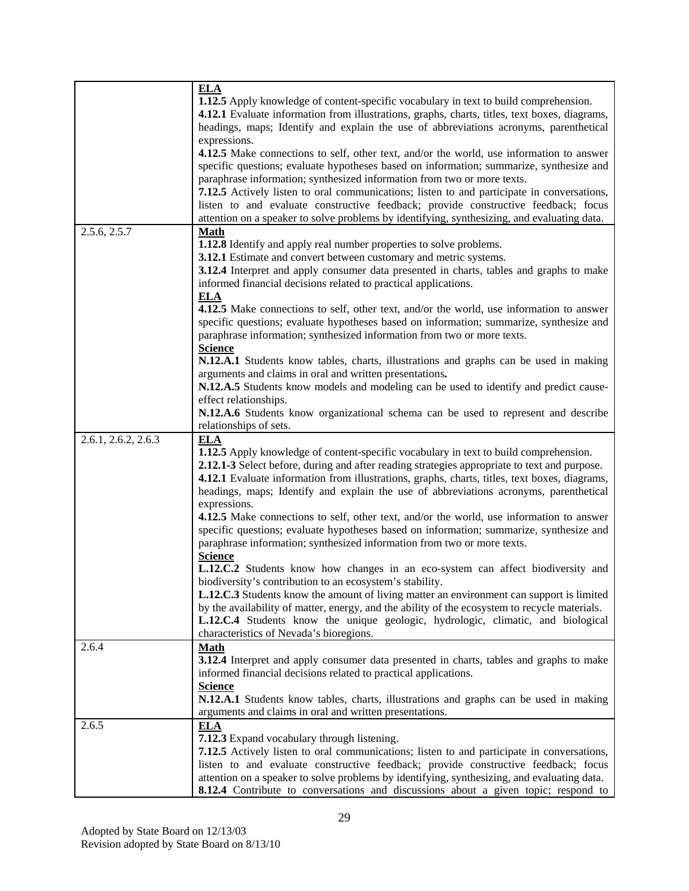|                     | <b>ELA</b><br><b>1.12.5</b> Apply knowledge of content-specific vocabulary in text to build comprehension.<br>4.12.1 Evaluate information from illustrations, graphs, charts, titles, text boxes, diagrams,<br>headings, maps; Identify and explain the use of abbreviations acronyms, parenthetical<br>expressions.<br>4.12.5 Make connections to self, other text, and/or the world, use information to answer<br>specific questions; evaluate hypotheses based on information; summarize, synthesize and<br>paraphrase information; synthesized information from two or more texts.<br>7.12.5 Actively listen to oral communications; listen to and participate in conversations,<br>listen to and evaluate constructive feedback; provide constructive feedback; focus<br>attention on a speaker to solve problems by identifying, synthesizing, and evaluating data. |
|---------------------|---------------------------------------------------------------------------------------------------------------------------------------------------------------------------------------------------------------------------------------------------------------------------------------------------------------------------------------------------------------------------------------------------------------------------------------------------------------------------------------------------------------------------------------------------------------------------------------------------------------------------------------------------------------------------------------------------------------------------------------------------------------------------------------------------------------------------------------------------------------------------|
| 2.5.6, 2.5.7        | <b>Math</b><br>1.12.8 Identify and apply real number properties to solve problems.<br>3.12.1 Estimate and convert between customary and metric systems.<br>3.12.4 Interpret and apply consumer data presented in charts, tables and graphs to make<br>informed financial decisions related to practical applications.<br><b>ELA</b><br>4.12.5 Make connections to self, other text, and/or the world, use information to answer                                                                                                                                                                                                                                                                                                                                                                                                                                           |
|                     | specific questions; evaluate hypotheses based on information; summarize, synthesize and<br>paraphrase information; synthesized information from two or more texts.<br><b>Science</b><br>N.12.A.1 Students know tables, charts, illustrations and graphs can be used in making<br>arguments and claims in oral and written presentations.<br>N.12.A.5 Students know models and modeling can be used to identify and predict cause-<br>effect relationships.<br>N.12.A.6 Students know organizational schema can be used to represent and describe                                                                                                                                                                                                                                                                                                                          |
| 2.6.1, 2.6.2, 2.6.3 | relationships of sets.<br><b>ELA</b><br>1.12.5 Apply knowledge of content-specific vocabulary in text to build comprehension.<br>2.12.1-3 Select before, during and after reading strategies appropriate to text and purpose.<br>4.12.1 Evaluate information from illustrations, graphs, charts, titles, text boxes, diagrams,<br>headings, maps; Identify and explain the use of abbreviations acronyms, parenthetical<br>expressions.<br>4.12.5 Make connections to self, other text, and/or the world, use information to answer<br>specific questions; evaluate hypotheses based on information; summarize, synthesize and<br>paraphrase information; synthesized information from two or more texts.<br><b>Science</b>                                                                                                                                               |
|                     | L.12.C.2 Students know how changes in an eco-system can affect biodiversity and<br>biodiversity's contribution to an ecosystem's stability.<br><b>L.12.C.3</b> Students know the amount of living matter an environment can support is limited<br>by the availability of matter, energy, and the ability of the ecosystem to recycle materials.<br>L.12.C.4 Students know the unique geologic, hydrologic, climatic, and biological<br>characteristics of Nevada's bioregions.                                                                                                                                                                                                                                                                                                                                                                                            |
| 2.6.4               | <b>Math</b><br>3.12.4 Interpret and apply consumer data presented in charts, tables and graphs to make<br>informed financial decisions related to practical applications.<br><b>Science</b><br>N.12.A.1 Students know tables, charts, illustrations and graphs can be used in making<br>arguments and claims in oral and written presentations.                                                                                                                                                                                                                                                                                                                                                                                                                                                                                                                           |
| 2.6.5               | <b>ELA</b><br>7.12.3 Expand vocabulary through listening.<br>7.12.5 Actively listen to oral communications; listen to and participate in conversations,<br>listen to and evaluate constructive feedback; provide constructive feedback; focus<br>attention on a speaker to solve problems by identifying, synthesizing, and evaluating data.<br><b>8.12.4</b> Contribute to conversations and discussions about a given topic; respond to                                                                                                                                                                                                                                                                                                                                                                                                                                 |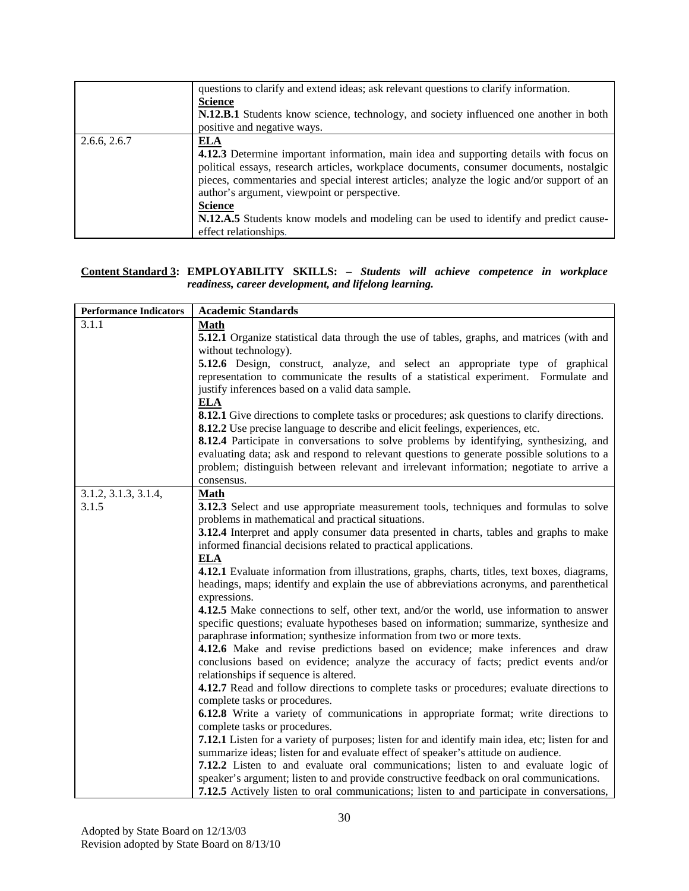|              | questions to clarify and extend ideas; ask relevant questions to clarify information.<br><b>Science</b><br>N.12.B.1 Students know science, technology, and society influenced one another in both<br>positive and negative ways.                                                                                                                                                                                                                                                  |
|--------------|-----------------------------------------------------------------------------------------------------------------------------------------------------------------------------------------------------------------------------------------------------------------------------------------------------------------------------------------------------------------------------------------------------------------------------------------------------------------------------------|
| 2.6.6, 2.6.7 | <b>ELA</b><br>4.12.3 Determine important information, main idea and supporting details with focus on<br>political essays, research articles, workplace documents, consumer documents, nostalgic<br>pieces, commentaries and special interest articles; analyze the logic and/or support of an<br>author's argument, viewpoint or perspective.<br><b>Science</b><br>N.12.A.5 Students know models and modeling can be used to identify and predict cause-<br>effect relationships. |

#### **Content Standard 3: EMPLOYABILITY SKILLS: –** *Students will achieve competence in workplace readiness, career development, and lifelong learning.*

| <b>Performance Indicators</b> | <b>Academic Standards</b>                                                                                                                                                                                                                                                                                                                                                                                                                                                                                                                                                                                                                                                                                                                                                                                                                                                                                                                                                                                                                                                                                                                                                                                                                                                                                                                                                                                                                                                                                                                                                                                                                                                                                                                                                                  |
|-------------------------------|--------------------------------------------------------------------------------------------------------------------------------------------------------------------------------------------------------------------------------------------------------------------------------------------------------------------------------------------------------------------------------------------------------------------------------------------------------------------------------------------------------------------------------------------------------------------------------------------------------------------------------------------------------------------------------------------------------------------------------------------------------------------------------------------------------------------------------------------------------------------------------------------------------------------------------------------------------------------------------------------------------------------------------------------------------------------------------------------------------------------------------------------------------------------------------------------------------------------------------------------------------------------------------------------------------------------------------------------------------------------------------------------------------------------------------------------------------------------------------------------------------------------------------------------------------------------------------------------------------------------------------------------------------------------------------------------------------------------------------------------------------------------------------------------|
| 3.1.1                         | <b>Math</b><br>5.12.1 Organize statistical data through the use of tables, graphs, and matrices (with and<br>without technology).<br>5.12.6 Design, construct, analyze, and select an appropriate type of graphical<br>representation to communicate the results of a statistical experiment. Formulate and<br>justify inferences based on a valid data sample.<br><b>ELA</b>                                                                                                                                                                                                                                                                                                                                                                                                                                                                                                                                                                                                                                                                                                                                                                                                                                                                                                                                                                                                                                                                                                                                                                                                                                                                                                                                                                                                              |
|                               | <b>8.12.1</b> Give directions to complete tasks or procedures; ask questions to clarify directions.<br>8.12.2 Use precise language to describe and elicit feelings, experiences, etc.<br><b>8.12.4</b> Participate in conversations to solve problems by identifying, synthesizing, and<br>evaluating data; ask and respond to relevant questions to generate possible solutions to a<br>problem; distinguish between relevant and irrelevant information; negotiate to arrive a<br>consensus.                                                                                                                                                                                                                                                                                                                                                                                                                                                                                                                                                                                                                                                                                                                                                                                                                                                                                                                                                                                                                                                                                                                                                                                                                                                                                             |
| 3.1.2, 3.1.3, 3.1.4,<br>3.1.5 | <b>Math</b><br><b>3.12.3</b> Select and use appropriate measurement tools, techniques and formulas to solve<br>problems in mathematical and practical situations.<br>3.12.4 Interpret and apply consumer data presented in charts, tables and graphs to make<br>informed financial decisions related to practical applications.<br><b>ELA</b><br>4.12.1 Evaluate information from illustrations, graphs, charts, titles, text boxes, diagrams,<br>headings, maps; identify and explain the use of abbreviations acronyms, and parenthetical<br>expressions.<br>4.12.5 Make connections to self, other text, and/or the world, use information to answer<br>specific questions; evaluate hypotheses based on information; summarize, synthesize and<br>paraphrase information; synthesize information from two or more texts.<br>4.12.6 Make and revise predictions based on evidence; make inferences and draw<br>conclusions based on evidence; analyze the accuracy of facts; predict events and/or<br>relationships if sequence is altered.<br>4.12.7 Read and follow directions to complete tasks or procedures; evaluate directions to<br>complete tasks or procedures.<br><b>6.12.8</b> Write a variety of communications in appropriate format; write directions to<br>complete tasks or procedures.<br><b>7.12.1</b> Listen for a variety of purposes; listen for and identify main idea, etc; listen for and<br>summarize ideas; listen for and evaluate effect of speaker's attitude on audience.<br>7.12.2 Listen to and evaluate oral communications; listen to and evaluate logic of<br>speaker's argument; listen to and provide constructive feedback on oral communications.<br>7.12.5 Actively listen to oral communications; listen to and participate in conversations, |

j.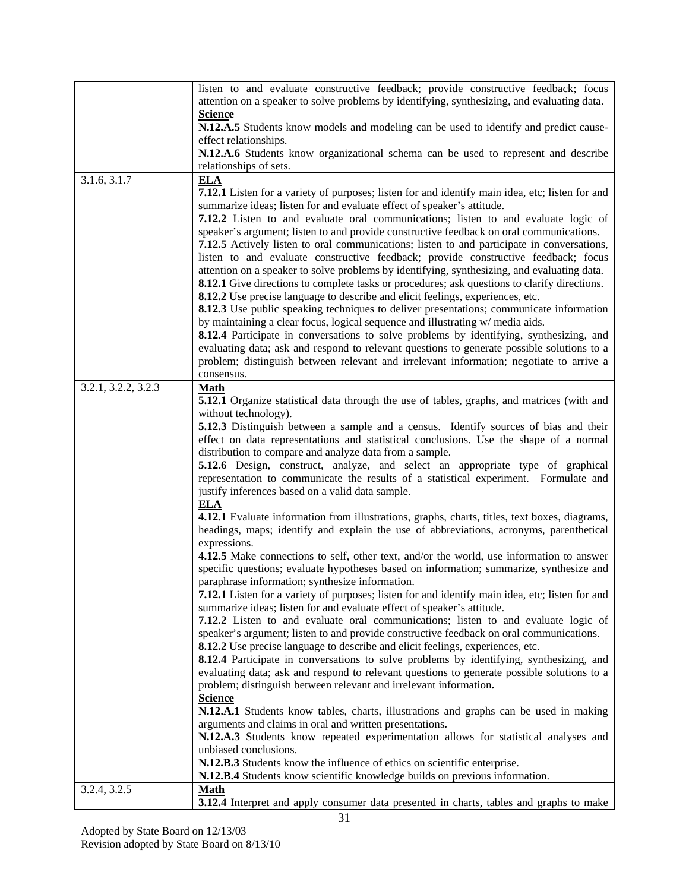|                     | listen to and evaluate constructive feedback; provide constructive feedback; focus<br>attention on a speaker to solve problems by identifying, synthesizing, and evaluating data.                                                                                                                                                                                                                                                                                                                                                                                                                                                                                                                                                                                         |
|---------------------|---------------------------------------------------------------------------------------------------------------------------------------------------------------------------------------------------------------------------------------------------------------------------------------------------------------------------------------------------------------------------------------------------------------------------------------------------------------------------------------------------------------------------------------------------------------------------------------------------------------------------------------------------------------------------------------------------------------------------------------------------------------------------|
|                     | <b>Science</b><br>N.12.A.5 Students know models and modeling can be used to identify and predict cause-<br>effect relationships.                                                                                                                                                                                                                                                                                                                                                                                                                                                                                                                                                                                                                                          |
|                     | N.12.A.6 Students know organizational schema can be used to represent and describe                                                                                                                                                                                                                                                                                                                                                                                                                                                                                                                                                                                                                                                                                        |
|                     | relationships of sets.                                                                                                                                                                                                                                                                                                                                                                                                                                                                                                                                                                                                                                                                                                                                                    |
| 3.1.6, 3.1.7        | <b>ELA</b><br><b>7.12.1</b> Listen for a variety of purposes; listen for and identify main idea, etc; listen for and<br>summarize ideas; listen for and evaluate effect of speaker's attitude.<br>7.12.2 Listen to and evaluate oral communications; listen to and evaluate logic of<br>speaker's argument; listen to and provide constructive feedback on oral communications.<br>7.12.5 Actively listen to oral communications; listen to and participate in conversations,<br>listen to and evaluate constructive feedback; provide constructive feedback; focus                                                                                                                                                                                                       |
|                     | attention on a speaker to solve problems by identifying, synthesizing, and evaluating data.<br><b>8.12.1</b> Give directions to complete tasks or procedures; ask questions to clarify directions.<br>8.12.2 Use precise language to describe and elicit feelings, experiences, etc.<br>8.12.3 Use public speaking techniques to deliver presentations; communicate information<br>by maintaining a clear focus, logical sequence and illustrating w/media aids.<br><b>8.12.4</b> Participate in conversations to solve problems by identifying, synthesizing, and<br>evaluating data; ask and respond to relevant questions to generate possible solutions to a<br>problem; distinguish between relevant and irrelevant information; negotiate to arrive a<br>consensus. |
| 3.2.1, 3.2.2, 3.2.3 | <b>Math</b><br><b>5.12.1</b> Organize statistical data through the use of tables, graphs, and matrices (with and                                                                                                                                                                                                                                                                                                                                                                                                                                                                                                                                                                                                                                                          |
|                     | without technology).                                                                                                                                                                                                                                                                                                                                                                                                                                                                                                                                                                                                                                                                                                                                                      |
|                     | 5.12.3 Distinguish between a sample and a census. Identify sources of bias and their                                                                                                                                                                                                                                                                                                                                                                                                                                                                                                                                                                                                                                                                                      |
|                     | effect on data representations and statistical conclusions. Use the shape of a normal                                                                                                                                                                                                                                                                                                                                                                                                                                                                                                                                                                                                                                                                                     |
|                     | distribution to compare and analyze data from a sample.                                                                                                                                                                                                                                                                                                                                                                                                                                                                                                                                                                                                                                                                                                                   |
|                     | 5.12.6 Design, construct, analyze, and select an appropriate type of graphical<br>representation to communicate the results of a statistical experiment. Formulate and<br>justify inferences based on a valid data sample.                                                                                                                                                                                                                                                                                                                                                                                                                                                                                                                                                |
|                     | <b>ELA</b><br>4.12.1 Evaluate information from illustrations, graphs, charts, titles, text boxes, diagrams,<br>headings, maps; identify and explain the use of abbreviations, acronyms, parenthetical<br>expressions.                                                                                                                                                                                                                                                                                                                                                                                                                                                                                                                                                     |
|                     | 4.12.5 Make connections to self, other text, and/or the world, use information to answer<br>specific questions; evaluate hypotheses based on information; summarize, synthesize and<br>paraphrase information; synthesize information.                                                                                                                                                                                                                                                                                                                                                                                                                                                                                                                                    |
|                     | 7.12.1 Listen for a variety of purposes; listen for and identify main idea, etc; listen for and<br>summarize ideas; listen for and evaluate effect of speaker's attitude.                                                                                                                                                                                                                                                                                                                                                                                                                                                                                                                                                                                                 |
|                     | 7.12.2 Listen to and evaluate oral communications; listen to and evaluate logic of                                                                                                                                                                                                                                                                                                                                                                                                                                                                                                                                                                                                                                                                                        |
|                     | speaker's argument; listen to and provide constructive feedback on oral communications.                                                                                                                                                                                                                                                                                                                                                                                                                                                                                                                                                                                                                                                                                   |
|                     | 8.12.2 Use precise language to describe and elicit feelings, experiences, etc.                                                                                                                                                                                                                                                                                                                                                                                                                                                                                                                                                                                                                                                                                            |
|                     | <b>8.12.4</b> Participate in conversations to solve problems by identifying, synthesizing, and<br>evaluating data; ask and respond to relevant questions to generate possible solutions to a                                                                                                                                                                                                                                                                                                                                                                                                                                                                                                                                                                              |
|                     | problem; distinguish between relevant and irrelevant information.                                                                                                                                                                                                                                                                                                                                                                                                                                                                                                                                                                                                                                                                                                         |
|                     | <b>Science</b>                                                                                                                                                                                                                                                                                                                                                                                                                                                                                                                                                                                                                                                                                                                                                            |
|                     | N.12.A.1 Students know tables, charts, illustrations and graphs can be used in making                                                                                                                                                                                                                                                                                                                                                                                                                                                                                                                                                                                                                                                                                     |
|                     | arguments and claims in oral and written presentations.                                                                                                                                                                                                                                                                                                                                                                                                                                                                                                                                                                                                                                                                                                                   |
|                     | N.12.A.3 Students know repeated experimentation allows for statistical analyses and                                                                                                                                                                                                                                                                                                                                                                                                                                                                                                                                                                                                                                                                                       |
|                     | unbiased conclusions.<br>N.12.B.3 Students know the influence of ethics on scientific enterprise.                                                                                                                                                                                                                                                                                                                                                                                                                                                                                                                                                                                                                                                                         |
|                     | N.12.B.4 Students know scientific knowledge builds on previous information.                                                                                                                                                                                                                                                                                                                                                                                                                                                                                                                                                                                                                                                                                               |
| 3.2.4, 3.2.5        | <b>Math</b>                                                                                                                                                                                                                                                                                                                                                                                                                                                                                                                                                                                                                                                                                                                                                               |
|                     | 3.12.4 Interpret and apply consumer data presented in charts, tables and graphs to make                                                                                                                                                                                                                                                                                                                                                                                                                                                                                                                                                                                                                                                                                   |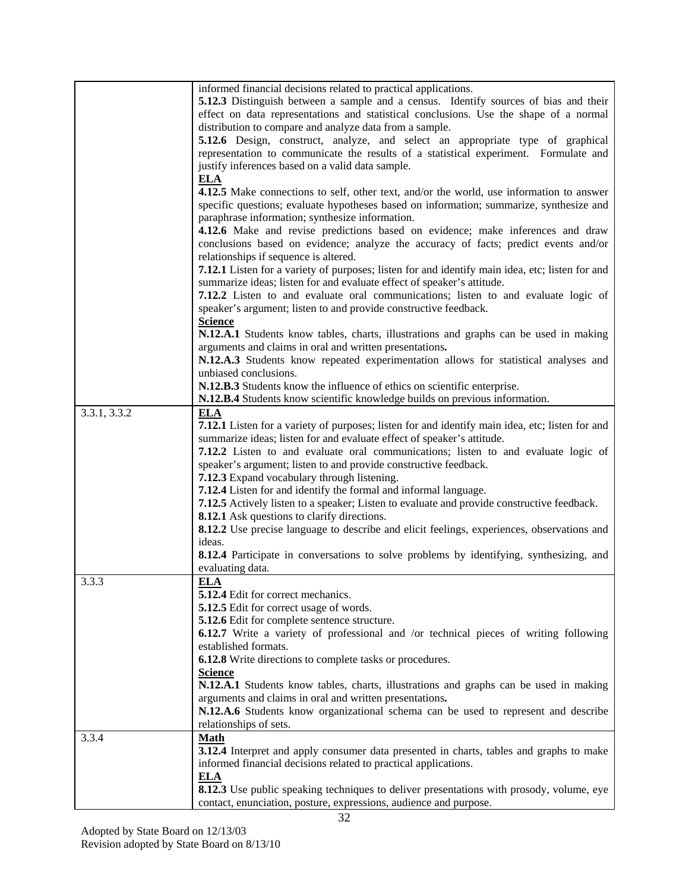|              | informed financial decisions related to practical applications.                                        |
|--------------|--------------------------------------------------------------------------------------------------------|
|              | <b>5.12.3</b> Distinguish between a sample and a census. Identify sources of bias and their            |
|              | effect on data representations and statistical conclusions. Use the shape of a normal                  |
|              | distribution to compare and analyze data from a sample.                                                |
|              | 5.12.6 Design, construct, analyze, and select an appropriate type of graphical                         |
|              | representation to communicate the results of a statistical experiment. Formulate and                   |
|              |                                                                                                        |
|              | justify inferences based on a valid data sample.                                                       |
|              | <b>ELA</b>                                                                                             |
|              | 4.12.5 Make connections to self, other text, and/or the world, use information to answer               |
|              | specific questions; evaluate hypotheses based on information; summarize, synthesize and                |
|              | paraphrase information; synthesize information.                                                        |
|              | 4.12.6 Make and revise predictions based on evidence; make inferences and draw                         |
|              | conclusions based on evidence; analyze the accuracy of facts; predict events and/or                    |
|              |                                                                                                        |
|              | relationships if sequence is altered.                                                                  |
|              | <b>7.12.1</b> Listen for a variety of purposes; listen for and identify main idea, etc; listen for and |
|              | summarize ideas; listen for and evaluate effect of speaker's attitude.                                 |
|              | 7.12.2 Listen to and evaluate oral communications; listen to and evaluate logic of                     |
|              | speaker's argument; listen to and provide constructive feedback.                                       |
|              | <b>Science</b>                                                                                         |
|              | N.12.A.1 Students know tables, charts, illustrations and graphs can be used in making                  |
|              | arguments and claims in oral and written presentations.                                                |
|              | N.12.A.3 Students know repeated experimentation allows for statistical analyses and                    |
|              | unbiased conclusions.                                                                                  |
|              |                                                                                                        |
|              | N.12.B.3 Students know the influence of ethics on scientific enterprise.                               |
|              | N.12.B.4 Students know scientific knowledge builds on previous information.                            |
| 3.3.1, 3.3.2 | <b>ELA</b>                                                                                             |
|              | <b>7.12.1</b> Listen for a variety of purposes; listen for and identify main idea, etc; listen for and |
|              | summarize ideas; listen for and evaluate effect of speaker's attitude.                                 |
|              | 7.12.2 Listen to and evaluate oral communications; listen to and evaluate logic of                     |
|              |                                                                                                        |
|              | speaker's argument; listen to and provide constructive feedback.                                       |
|              | 7.12.3 Expand vocabulary through listening.                                                            |
|              | 7.12.4 Listen for and identify the formal and informal language.                                       |
|              | 7.12.5 Actively listen to a speaker; Listen to evaluate and provide constructive feedback.             |
|              | <b>8.12.1</b> Ask questions to clarify directions.                                                     |
|              | 8.12.2 Use precise language to describe and elicit feelings, experiences, observations and             |
|              | ideas.                                                                                                 |
|              |                                                                                                        |
|              | <b>8.12.4</b> Participate in conversations to solve problems by identifying, synthesizing, and         |
|              | evaluating data.                                                                                       |
| 3.3.3        | <b>ELA</b>                                                                                             |
|              | 5.12.4 Edit for correct mechanics.                                                                     |
|              | 5.12.5 Edit for correct usage of words.                                                                |
|              | 5.12.6 Edit for complete sentence structure.                                                           |
|              | <b>6.12.7</b> Write a variety of professional and /or technical pieces of writing following            |
|              | established formats.                                                                                   |
|              |                                                                                                        |
|              | 6.12.8 Write directions to complete tasks or procedures.                                               |
|              | <b>Science</b>                                                                                         |
|              | N.12.A.1 Students know tables, charts, illustrations and graphs can be used in making                  |
|              | arguments and claims in oral and written presentations.                                                |
|              | N.12.A.6 Students know organizational schema can be used to represent and describe                     |
|              | relationships of sets.                                                                                 |
| 3.3.4        | <b>Math</b>                                                                                            |
|              | 3.12.4 Interpret and apply consumer data presented in charts, tables and graphs to make                |
|              |                                                                                                        |
|              | informed financial decisions related to practical applications.                                        |
|              | <b>ELA</b>                                                                                             |
|              | <b>8.12.3</b> Use public speaking techniques to deliver presentations with prosody, volume, eye        |
|              | contact, enunciation, posture, expressions, audience and purpose.                                      |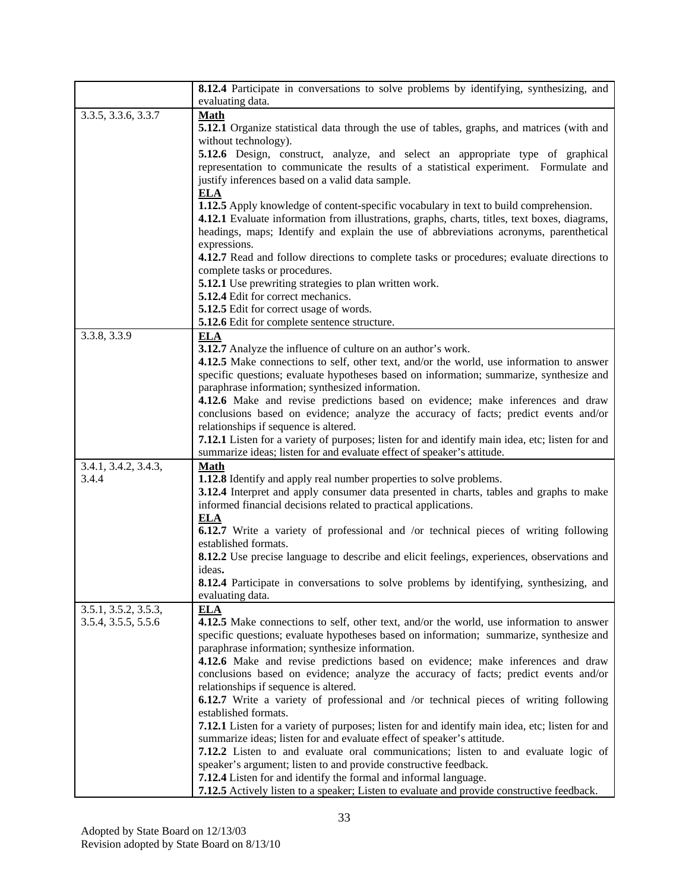|                      | <b>8.12.4</b> Participate in conversations to solve problems by identifying, synthesizing, and         |
|----------------------|--------------------------------------------------------------------------------------------------------|
|                      | evaluating data.                                                                                       |
| 3.3.5, 3.3.6, 3.3.7  | <b>Math</b>                                                                                            |
|                      | <b>5.12.1</b> Organize statistical data through the use of tables, graphs, and matrices (with and      |
|                      | without technology).                                                                                   |
|                      | 5.12.6 Design, construct, analyze, and select an appropriate type of graphical                         |
|                      | representation to communicate the results of a statistical experiment. Formulate and                   |
|                      | justify inferences based on a valid data sample.                                                       |
|                      | <b>ELA</b>                                                                                             |
|                      | 1.12.5 Apply knowledge of content-specific vocabulary in text to build comprehension.                  |
|                      | 4.12.1 Evaluate information from illustrations, graphs, charts, titles, text boxes, diagrams,          |
|                      | headings, maps; Identify and explain the use of abbreviations acronyms, parenthetical                  |
|                      | expressions.                                                                                           |
|                      | 4.12.7 Read and follow directions to complete tasks or procedures; evaluate directions to              |
|                      | complete tasks or procedures.                                                                          |
|                      | 5.12.1 Use prewriting strategies to plan written work.                                                 |
|                      | 5.12.4 Edit for correct mechanics.                                                                     |
|                      | 5.12.5 Edit for correct usage of words.<br>5.12.6 Edit for complete sentence structure.                |
| 3.3.8, 3.3.9         |                                                                                                        |
|                      | <b>ELA</b><br>3.12.7 Analyze the influence of culture on an author's work.                             |
|                      | 4.12.5 Make connections to self, other text, and/or the world, use information to answer               |
|                      | specific questions; evaluate hypotheses based on information; summarize, synthesize and                |
|                      | paraphrase information; synthesized information.                                                       |
|                      | 4.12.6 Make and revise predictions based on evidence; make inferences and draw                         |
|                      | conclusions based on evidence; analyze the accuracy of facts; predict events and/or                    |
|                      | relationships if sequence is altered.                                                                  |
|                      | <b>7.12.1</b> Listen for a variety of purposes; listen for and identify main idea, etc; listen for and |
|                      | summarize ideas; listen for and evaluate effect of speaker's attitude.                                 |
| 3.4.1, 3.4.2, 3.4.3, | <b>Math</b>                                                                                            |
| 3.4.4                | 1.12.8 Identify and apply real number properties to solve problems.                                    |
|                      | 3.12.4 Interpret and apply consumer data presented in charts, tables and graphs to make                |
|                      | informed financial decisions related to practical applications.                                        |
|                      | <b>ELA</b>                                                                                             |
|                      | <b>6.12.7</b> Write a variety of professional and /or technical pieces of writing following            |
|                      | established formats.                                                                                   |
|                      | <b>8.12.2</b> Use precise language to describe and elicit feelings, experiences, observations and      |
|                      | ideas.                                                                                                 |
|                      | 8.12.4 Participate in conversations to solve problems by identifying, synthesizing, and                |
| 3.5.1, 3.5.2, 3.5.3, | evaluating data.<br><b>ELA</b>                                                                         |
| 3.5.4, 3.5.5, 5.5.6  | 4.12.5 Make connections to self, other text, and/or the world, use information to answer               |
|                      | specific questions; evaluate hypotheses based on information; summarize, synthesize and                |
|                      | paraphrase information; synthesize information.                                                        |
|                      | 4.12.6 Make and revise predictions based on evidence; make inferences and draw                         |
|                      | conclusions based on evidence; analyze the accuracy of facts; predict events and/or                    |
|                      | relationships if sequence is altered.                                                                  |
|                      | <b>6.12.7</b> Write a variety of professional and /or technical pieces of writing following            |
|                      | established formats.                                                                                   |
|                      | <b>7.12.1</b> Listen for a variety of purposes; listen for and identify main idea, etc; listen for and |
|                      | summarize ideas; listen for and evaluate effect of speaker's attitude.                                 |
|                      | 7.12.2 Listen to and evaluate oral communications; listen to and evaluate logic of                     |
|                      | speaker's argument; listen to and provide constructive feedback.                                       |
|                      | 7.12.4 Listen for and identify the formal and informal language.                                       |
|                      | 7.12.5 Actively listen to a speaker; Listen to evaluate and provide constructive feedback.             |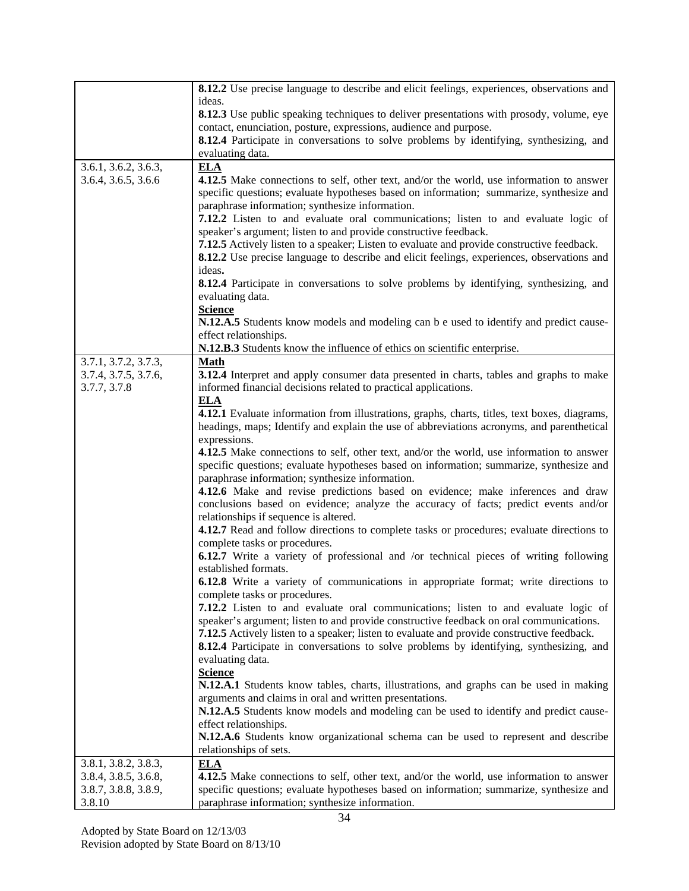|                                              | 8.12.2 Use precise language to describe and elicit feelings, experiences, observations and                                                                                          |
|----------------------------------------------|-------------------------------------------------------------------------------------------------------------------------------------------------------------------------------------|
|                                              | ideas.                                                                                                                                                                              |
|                                              | <b>8.12.3</b> Use public speaking techniques to deliver presentations with prosody, volume, eye                                                                                     |
|                                              | contact, enunciation, posture, expressions, audience and purpose.                                                                                                                   |
|                                              | <b>8.12.4</b> Participate in conversations to solve problems by identifying, synthesizing, and                                                                                      |
|                                              | evaluating data.                                                                                                                                                                    |
| 3.6.1, 3.6.2, 3.6.3,                         | <b>ELA</b>                                                                                                                                                                          |
| 3.6.4, 3.6.5, 3.6.6                          | 4.12.5 Make connections to self, other text, and/or the world, use information to answer<br>specific questions; evaluate hypotheses based on information; summarize, synthesize and |
|                                              | paraphrase information; synthesize information.                                                                                                                                     |
|                                              | 7.12.2 Listen to and evaluate oral communications; listen to and evaluate logic of                                                                                                  |
|                                              | speaker's argument; listen to and provide constructive feedback.                                                                                                                    |
|                                              | 7.12.5 Actively listen to a speaker; Listen to evaluate and provide constructive feedback.                                                                                          |
|                                              | 8.12.2 Use precise language to describe and elicit feelings, experiences, observations and                                                                                          |
|                                              | ideas.                                                                                                                                                                              |
|                                              | 8.12.4 Participate in conversations to solve problems by identifying, synthesizing, and                                                                                             |
|                                              | evaluating data.                                                                                                                                                                    |
|                                              | <b>Science</b>                                                                                                                                                                      |
|                                              | N.12.A.5 Students know models and modeling can be used to identify and predict cause-                                                                                               |
|                                              | effect relationships.                                                                                                                                                               |
|                                              | N.12.B.3 Students know the influence of ethics on scientific enterprise.                                                                                                            |
| 3.7.1, 3.7.2, 3.7.3,<br>3.7.4, 3.7.5, 3.7.6, | <b>Math</b><br><b>3.12.4</b> Interpret and apply consumer data presented in charts, tables and graphs to make                                                                       |
| 3.7.7, 3.7.8                                 | informed financial decisions related to practical applications.                                                                                                                     |
|                                              | <b>ELA</b>                                                                                                                                                                          |
|                                              | 4.12.1 Evaluate information from illustrations, graphs, charts, titles, text boxes, diagrams,                                                                                       |
|                                              | headings, maps; Identify and explain the use of abbreviations acronyms, and parenthetical                                                                                           |
|                                              | expressions.                                                                                                                                                                        |
|                                              | 4.12.5 Make connections to self, other text, and/or the world, use information to answer                                                                                            |
|                                              | specific questions; evaluate hypotheses based on information; summarize, synthesize and                                                                                             |
|                                              | paraphrase information; synthesize information.                                                                                                                                     |
|                                              | 4.12.6 Make and revise predictions based on evidence; make inferences and draw                                                                                                      |
|                                              | conclusions based on evidence; analyze the accuracy of facts; predict events and/or                                                                                                 |
|                                              | relationships if sequence is altered.<br>4.12.7 Read and follow directions to complete tasks or procedures; evaluate directions to                                                  |
|                                              | complete tasks or procedures.                                                                                                                                                       |
|                                              | <b>6.12.7</b> Write a variety of professional and /or technical pieces of writing following                                                                                         |
|                                              | established formats.                                                                                                                                                                |
|                                              | <b>6.12.8</b> Write a variety of communications in appropriate format; write directions to                                                                                          |
|                                              | complete tasks or procedures.                                                                                                                                                       |
|                                              | 7.12.2 Listen to and evaluate oral communications; listen to and evaluate logic of                                                                                                  |
|                                              | speaker's argument; listen to and provide constructive feedback on oral communications.                                                                                             |
|                                              | 7.12.5 Actively listen to a speaker; listen to evaluate and provide constructive feedback.                                                                                          |
|                                              | <b>8.12.4</b> Participate in conversations to solve problems by identifying, synthesizing, and                                                                                      |
|                                              | evaluating data.<br><b>Science</b>                                                                                                                                                  |
|                                              | N.12.A.1 Students know tables, charts, illustrations, and graphs can be used in making                                                                                              |
|                                              | arguments and claims in oral and written presentations.                                                                                                                             |
|                                              | N.12.A.5 Students know models and modeling can be used to identify and predict cause-                                                                                               |
|                                              | effect relationships.                                                                                                                                                               |
|                                              | N.12.A.6 Students know organizational schema can be used to represent and describe                                                                                                  |
|                                              | relationships of sets.                                                                                                                                                              |
| 3.8.1, 3.8.2, 3.8.3,                         | <b>ELA</b>                                                                                                                                                                          |
| 3.8.4, 3.8.5, 3.6.8,                         | 4.12.5 Make connections to self, other text, and/or the world, use information to answer                                                                                            |
| 3.8.7, 3.8.8, 3.8.9,                         | specific questions; evaluate hypotheses based on information; summarize, synthesize and                                                                                             |
| 3.8.10                                       | paraphrase information; synthesize information.                                                                                                                                     |